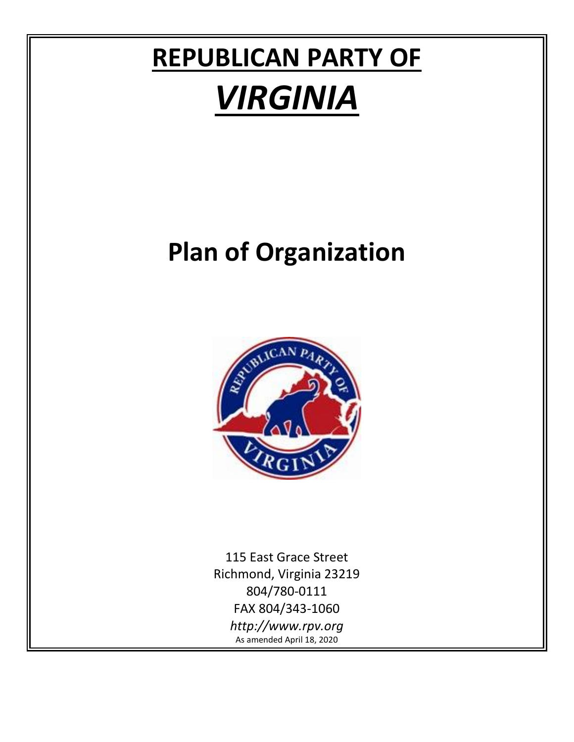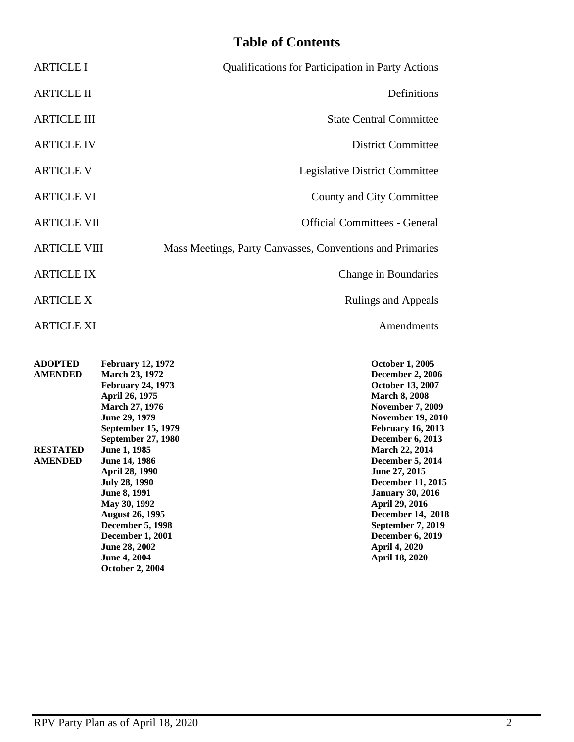# **Table of Contents**

| <b>Qualifications for Participation in Party Actions</b>  | <b>ARTICLE I</b>    |
|-----------------------------------------------------------|---------------------|
| Definitions                                               | <b>ARTICLE II</b>   |
| <b>State Central Committee</b>                            | <b>ARTICLE III</b>  |
| <b>District Committee</b>                                 | <b>ARTICLE IV</b>   |
| Legislative District Committee                            | <b>ARTICLE V</b>    |
| County and City Committee                                 | <b>ARTICLE VI</b>   |
| <b>Official Committees - General</b>                      | <b>ARTICLE VII</b>  |
| Mass Meetings, Party Canvasses, Conventions and Primaries | <b>ARTICLE VIII</b> |
| Change in Boundaries                                      | <b>ARTICLE IX</b>   |
| <b>Rulings and Appeals</b>                                | <b>ARTICLE X</b>    |
| Amendments                                                | <b>ARTICLE XI</b>   |

| <b>ADOPTED</b>  | <b>February 12, 1972</b>  | <b>October 1, 2005</b>   |
|-----------------|---------------------------|--------------------------|
| <b>AMENDED</b>  | <b>March 23, 1972</b>     | <b>December 2, 2006</b>  |
|                 | <b>February 24, 1973</b>  | <b>October 13, 2007</b>  |
|                 | April 26, 1975            | <b>March 8, 2008</b>     |
|                 | <b>March 27, 1976</b>     | <b>November 7, 2009</b>  |
|                 | June 29, 1979             | <b>November 19, 2010</b> |
|                 | <b>September 15, 1979</b> | <b>February 16, 2013</b> |
|                 | September 27, 1980        | <b>December 6, 2013</b>  |
| <b>RESTATED</b> | <b>June 1, 1985</b>       | <b>March 22, 2014</b>    |
| <b>AMENDED</b>  | <b>June 14, 1986</b>      | <b>December 5, 2014</b>  |
|                 | April 28, 1990            | June 27, 2015            |
|                 | <b>July 28, 1990</b>      | <b>December 11, 2015</b> |
|                 | <b>June 8, 1991</b>       | <b>January 30, 2016</b>  |
|                 | May 30, 1992              | April 29, 2016           |
|                 | <b>August 26, 1995</b>    | <b>December 14, 2018</b> |
|                 | <b>December 5, 1998</b>   | September 7, 2019        |
|                 | <b>December 1, 2001</b>   | December 6, 2019         |
|                 | June 28, 2002             | <b>April 4, 2020</b>     |
|                 | <b>June 4, 2004</b>       | <b>April 18, 2020</b>    |
|                 | <b>October 2, 2004</b>    |                          |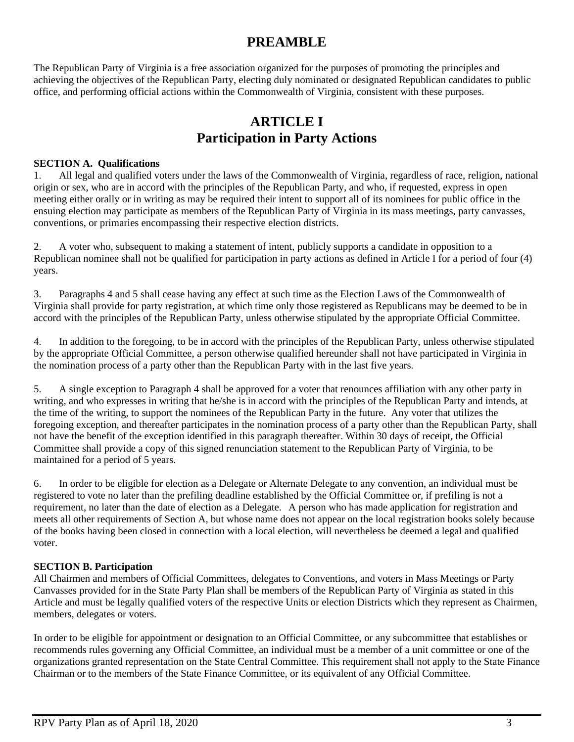## **PREAMBLE**

The Republican Party of Virginia is a free association organized for the purposes of promoting the principles and achieving the objectives of the Republican Party, electing duly nominated or designated Republican candidates to public office, and performing official actions within the Commonwealth of Virginia, consistent with these purposes.

## **ARTICLE I Participation in Party Actions**

#### **SECTION A. Qualifications**

1. All legal and qualified voters under the laws of the Commonwealth of Virginia, regardless of race, religion, national origin or sex, who are in accord with the principles of the Republican Party, and who, if requested, express in open meeting either orally or in writing as may be required their intent to support all of its nominees for public office in the ensuing election may participate as members of the Republican Party of Virginia in its mass meetings, party canvasses, conventions, or primaries encompassing their respective election districts.

2. A voter who, subsequent to making a statement of intent, publicly supports a candidate in opposition to a Republican nominee shall not be qualified for participation in party actions as defined in Article I for a period of four (4) years.

3. Paragraphs 4 and 5 shall cease having any effect at such time as the Election Laws of the Commonwealth of Virginia shall provide for party registration, at which time only those registered as Republicans may be deemed to be in accord with the principles of the Republican Party, unless otherwise stipulated by the appropriate Official Committee.

4. In addition to the foregoing, to be in accord with the principles of the Republican Party, unless otherwise stipulated by the appropriate Official Committee, a person otherwise qualified hereunder shall not have participated in Virginia in the nomination process of a party other than the Republican Party with in the last five years.

5. A single exception to Paragraph 4 shall be approved for a voter that renounces affiliation with any other party in writing, and who expresses in writing that he/she is in accord with the principles of the Republican Party and intends, at the time of the writing, to support the nominees of the Republican Party in the future. Any voter that utilizes the foregoing exception, and thereafter participates in the nomination process of a party other than the Republican Party, shall not have the benefit of the exception identified in this paragraph thereafter. Within 30 days of receipt, the Official Committee shall provide a copy of this signed renunciation statement to the Republican Party of Virginia, to be maintained for a period of 5 years.

6. In order to be eligible for election as a Delegate or Alternate Delegate to any convention, an individual must be registered to vote no later than the prefiling deadline established by the Official Committee or, if prefiling is not a requirement, no later than the date of election as a Delegate. A person who has made application for registration and meets all other requirements of Section A, but whose name does not appear on the local registration books solely because of the books having been closed in connection with a local election, will nevertheless be deemed a legal and qualified voter.

#### **SECTION B. Participation**

All Chairmen and members of Official Committees, delegates to Conventions, and voters in Mass Meetings or Party Canvasses provided for in the State Party Plan shall be members of the Republican Party of Virginia as stated in this Article and must be legally qualified voters of the respective Units or election Districts which they represent as Chairmen, members, delegates or voters.

In order to be eligible for appointment or designation to an Official Committee, or any subcommittee that establishes or recommends rules governing any Official Committee, an individual must be a member of a unit committee or one of the organizations granted representation on the State Central Committee. This requirement shall not apply to the State Finance Chairman or to the members of the State Finance Committee, or its equivalent of any Official Committee.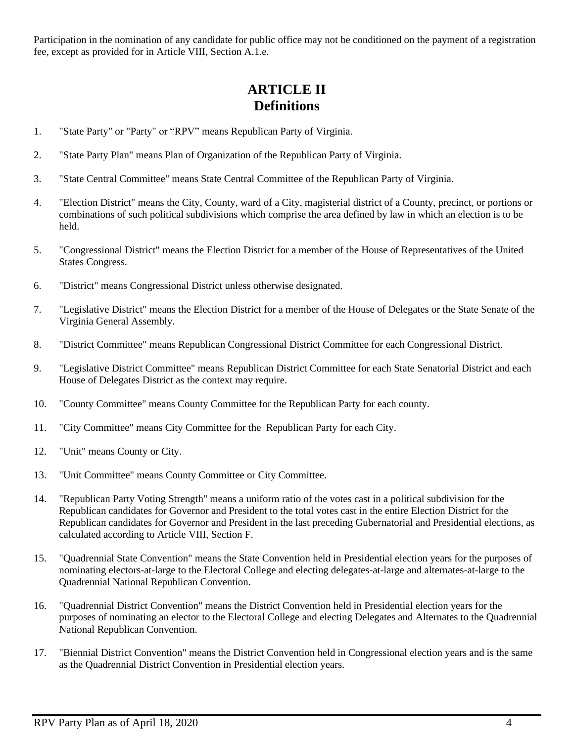Participation in the nomination of any candidate for public office may not be conditioned on the payment of a registration fee, except as provided for in Article VIII, Section A.1.e.

## **ARTICLE II Definitions**

- 1. "State Party" or "Party" or "RPV" means Republican Party of Virginia.
- 2. "State Party Plan" means Plan of Organization of the Republican Party of Virginia.
- 3. "State Central Committee" means State Central Committee of the Republican Party of Virginia.
- 4. "Election District" means the City, County, ward of a City, magisterial district of a County, precinct, or portions or combinations of such political subdivisions which comprise the area defined by law in which an election is to be held.
- 5. "Congressional District" means the Election District for a member of the House of Representatives of the United States Congress.
- 6. "District" means Congressional District unless otherwise designated.
- 7. "Legislative District" means the Election District for a member of the House of Delegates or the State Senate of the Virginia General Assembly.
- 8. "District Committee" means Republican Congressional District Committee for each Congressional District.
- 9. "Legislative District Committee" means Republican District Committee for each State Senatorial District and each House of Delegates District as the context may require.
- 10. "County Committee" means County Committee for the Republican Party for each county.
- 11. "City Committee" means City Committee for the Republican Party for each City.
- 12. "Unit" means County or City.
- 13. "Unit Committee" means County Committee or City Committee.
- 14. "Republican Party Voting Strength" means a uniform ratio of the votes cast in a political subdivision for the Republican candidates for Governor and President to the total votes cast in the entire Election District for the Republican candidates for Governor and President in the last preceding Gubernatorial and Presidential elections, as calculated according to Article VIII, Section F.
- 15. "Quadrennial State Convention" means the State Convention held in Presidential election years for the purposes of nominating electors-at-large to the Electoral College and electing delegates-at-large and alternates-at-large to the Quadrennial National Republican Convention.
- 16. "Quadrennial District Convention" means the District Convention held in Presidential election years for the purposes of nominating an elector to the Electoral College and electing Delegates and Alternates to the Quadrennial National Republican Convention.
- 17. "Biennial District Convention" means the District Convention held in Congressional election years and is the same as the Quadrennial District Convention in Presidential election years.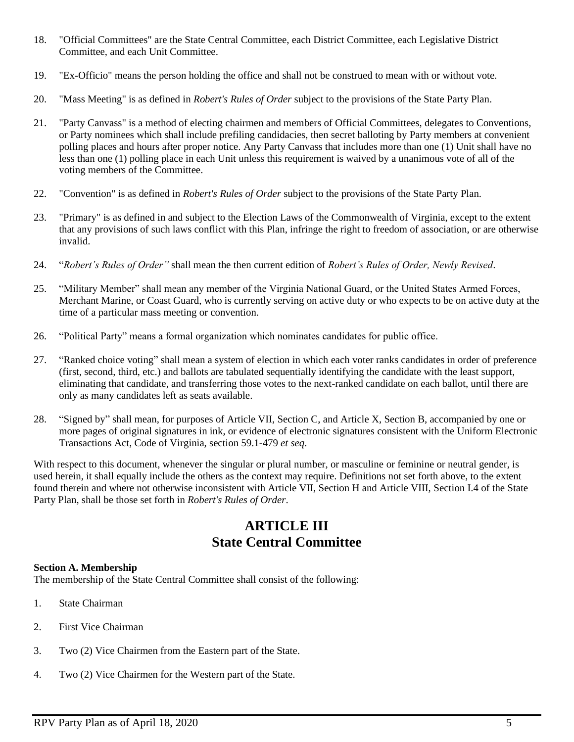- 18. "Official Committees" are the State Central Committee, each District Committee, each Legislative District Committee, and each Unit Committee.
- 19. "Ex-Officio" means the person holding the office and shall not be construed to mean with or without vote.
- 20. "Mass Meeting" is as defined in *Robert's Rules of Order* subject to the provisions of the State Party Plan.
- 21. "Party Canvass" is a method of electing chairmen and members of Official Committees, delegates to Conventions, or Party nominees which shall include prefiling candidacies, then secret balloting by Party members at convenient polling places and hours after proper notice. Any Party Canvass that includes more than one (1) Unit shall have no less than one (1) polling place in each Unit unless this requirement is waived by a unanimous vote of all of the voting members of the Committee.
- 22. "Convention" is as defined in *Robert's Rules of Order* subject to the provisions of the State Party Plan.
- 23. "Primary" is as defined in and subject to the Election Laws of the Commonwealth of Virginia, except to the extent that any provisions of such laws conflict with this Plan, infringe the right to freedom of association, or are otherwise invalid.
- 24. "*Robert's Rules of Order"* shall mean the then current edition of *Robert's Rules of Order, Newly Revised*.
- 25. "Military Member" shall mean any member of the Virginia National Guard, or the United States Armed Forces, Merchant Marine, or Coast Guard, who is currently serving on active duty or who expects to be on active duty at the time of a particular mass meeting or convention.
- 26. "Political Party" means a formal organization which nominates candidates for public office.
- 27. "Ranked choice voting" shall mean a system of election in which each voter ranks candidates in order of preference (first, second, third, etc.) and ballots are tabulated sequentially identifying the candidate with the least support, eliminating that candidate, and transferring those votes to the next-ranked candidate on each ballot, until there are only as many candidates left as seats available.
- 28. "Signed by" shall mean, for purposes of Article VII, Section C, and Article X, Section B, accompanied by one or more pages of original signatures in ink, or evidence of electronic signatures consistent with the Uniform Electronic Transactions Act, Code of Virginia, section 59.1-479 *et seq*.

With respect to this document, whenever the singular or plural number, or masculine or feminine or neutral gender, is used herein, it shall equally include the others as the context may require. Definitions not set forth above, to the extent found therein and where not otherwise inconsistent with Article VII, Section H and Article VIII, Section I.4 of the State Party Plan, shall be those set forth in *Robert's Rules of Order*.

## **ARTICLE III State Central Committee**

#### **Section A. Membership**

The membership of the State Central Committee shall consist of the following:

- 1. State Chairman
- 2. First Vice Chairman
- 3. Two (2) Vice Chairmen from the Eastern part of the State.
- 4. Two (2) Vice Chairmen for the Western part of the State.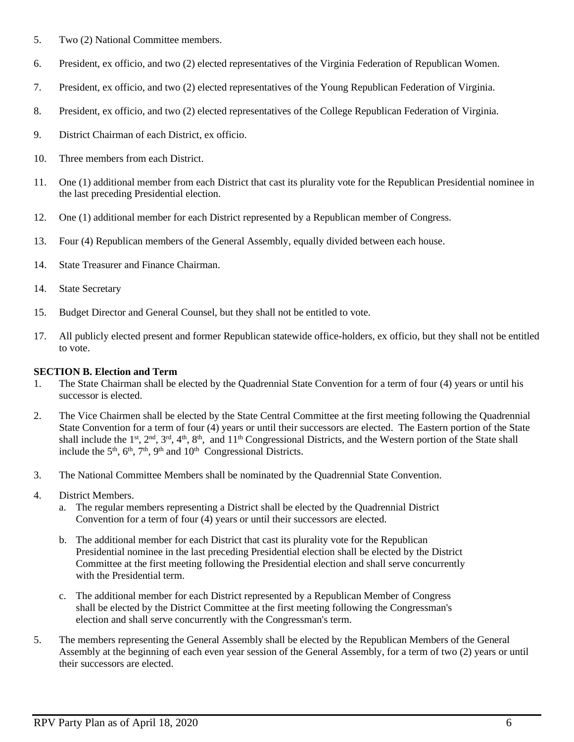- 5. Two (2) National Committee members.
- 6. President, ex officio, and two (2) elected representatives of the Virginia Federation of Republican Women.
- 7. President, ex officio, and two (2) elected representatives of the Young Republican Federation of Virginia.
- 8. President, ex officio, and two (2) elected representatives of the College Republican Federation of Virginia.
- 9. District Chairman of each District, ex officio.
- 10. Three members from each District.
- 11. One (1) additional member from each District that cast its plurality vote for the Republican Presidential nominee in the last preceding Presidential election.
- 12. One (1) additional member for each District represented by a Republican member of Congress.
- 13. Four (4) Republican members of the General Assembly, equally divided between each house.
- 14. State Treasurer and Finance Chairman.
- 14. State Secretary
- 15. Budget Director and General Counsel, but they shall not be entitled to vote.
- 17. All publicly elected present and former Republican statewide office-holders, ex officio, but they shall not be entitled to vote.

#### **SECTION B. Election and Term**

- 1. The State Chairman shall be elected by the Quadrennial State Convention for a term of four (4) years or until his successor is elected.
- 2. The Vice Chairmen shall be elected by the State Central Committee at the first meeting following the Quadrennial State Convention for a term of four (4) years or until their successors are elected. The Eastern portion of the State shall include the 1<sup>st</sup>, 2<sup>nd</sup>, 3<sup>rd</sup>, 4<sup>th</sup>, 8<sup>th</sup>, and 11<sup>th</sup> Congressional Districts, and the Western portion of the State shall include the  $5<sup>th</sup>$ ,  $6<sup>th</sup>$ ,  $7<sup>th</sup>$ ,  $9<sup>th</sup>$  and  $10<sup>th</sup>$  Congressional Districts.
- 3. The National Committee Members shall be nominated by the Quadrennial State Convention.
- 4. District Members.
	- a. The regular members representing a District shall be elected by the Quadrennial District Convention for a term of four (4) years or until their successors are elected.
	- b. The additional member for each District that cast its plurality vote for the Republican Presidential nominee in the last preceding Presidential election shall be elected by the District Committee at the first meeting following the Presidential election and shall serve concurrently with the Presidential term.
	- c. The additional member for each District represented by a Republican Member of Congress shall be elected by the District Committee at the first meeting following the Congressman's election and shall serve concurrently with the Congressman's term.
- 5. The members representing the General Assembly shall be elected by the Republican Members of the General Assembly at the beginning of each even year session of the General Assembly, for a term of two (2) years or until their successors are elected.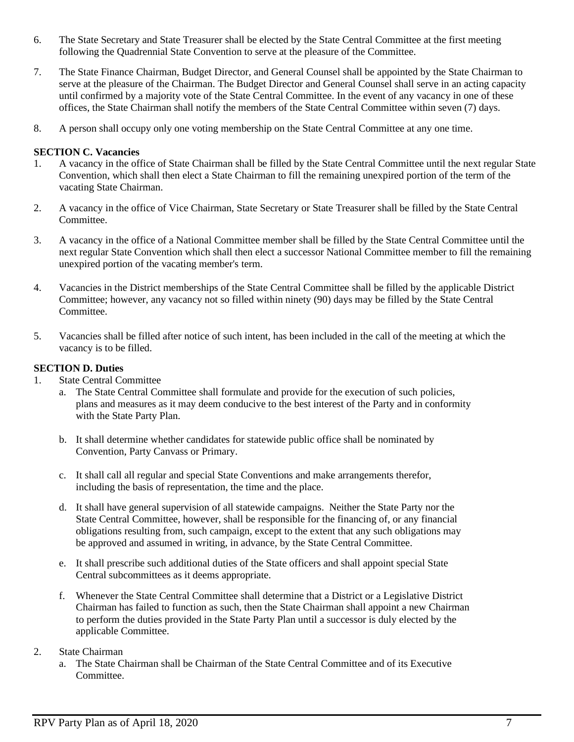- 6. The State Secretary and State Treasurer shall be elected by the State Central Committee at the first meeting following the Quadrennial State Convention to serve at the pleasure of the Committee.
- 7. The State Finance Chairman, Budget Director, and General Counsel shall be appointed by the State Chairman to serve at the pleasure of the Chairman. The Budget Director and General Counsel shall serve in an acting capacity until confirmed by a majority vote of the State Central Committee. In the event of any vacancy in one of these offices, the State Chairman shall notify the members of the State Central Committee within seven (7) days.
- 8. A person shall occupy only one voting membership on the State Central Committee at any one time.

#### **SECTION C. Vacancies**

- 1. A vacancy in the office of State Chairman shall be filled by the State Central Committee until the next regular State Convention, which shall then elect a State Chairman to fill the remaining unexpired portion of the term of the vacating State Chairman.
- 2. A vacancy in the office of Vice Chairman, State Secretary or State Treasurer shall be filled by the State Central Committee.
- 3. A vacancy in the office of a National Committee member shall be filled by the State Central Committee until the next regular State Convention which shall then elect a successor National Committee member to fill the remaining unexpired portion of the vacating member's term.
- 4. Vacancies in the District memberships of the State Central Committee shall be filled by the applicable District Committee; however, any vacancy not so filled within ninety (90) days may be filled by the State Central Committee.
- 5. Vacancies shall be filled after notice of such intent, has been included in the call of the meeting at which the vacancy is to be filled.

#### **SECTION D. Duties**

- 1. State Central Committee
	- a. The State Central Committee shall formulate and provide for the execution of such policies, plans and measures as it may deem conducive to the best interest of the Party and in conformity with the State Party Plan.
	- b. It shall determine whether candidates for statewide public office shall be nominated by Convention, Party Canvass or Primary.
	- c. It shall call all regular and special State Conventions and make arrangements therefor, including the basis of representation, the time and the place.
	- d. It shall have general supervision of all statewide campaigns. Neither the State Party nor the State Central Committee, however, shall be responsible for the financing of, or any financial obligations resulting from, such campaign, except to the extent that any such obligations may be approved and assumed in writing, in advance, by the State Central Committee.
	- e. It shall prescribe such additional duties of the State officers and shall appoint special State Central subcommittees as it deems appropriate.
	- f. Whenever the State Central Committee shall determine that a District or a Legislative District Chairman has failed to function as such, then the State Chairman shall appoint a new Chairman to perform the duties provided in the State Party Plan until a successor is duly elected by the applicable Committee.

#### 2. State Chairman

a. The State Chairman shall be Chairman of the State Central Committee and of its Executive Committee.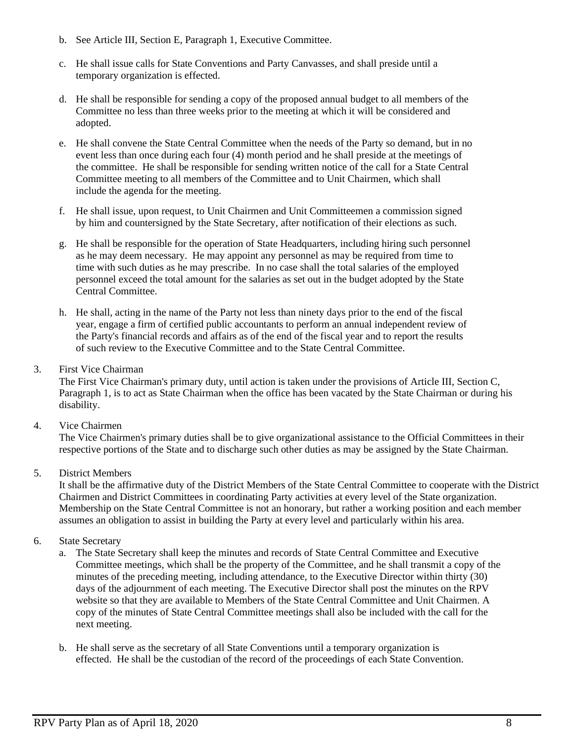- b. See Article III, Section E, Paragraph 1, Executive Committee.
- c. He shall issue calls for State Conventions and Party Canvasses, and shall preside until a temporary organization is effected.
- d. He shall be responsible for sending a copy of the proposed annual budget to all members of the Committee no less than three weeks prior to the meeting at which it will be considered and adopted.
- e. He shall convene the State Central Committee when the needs of the Party so demand, but in no event less than once during each four (4) month period and he shall preside at the meetings of the committee. He shall be responsible for sending written notice of the call for a State Central Committee meeting to all members of the Committee and to Unit Chairmen, which shall include the agenda for the meeting.
- f. He shall issue, upon request, to Unit Chairmen and Unit Committeemen a commission signed by him and countersigned by the State Secretary, after notification of their elections as such.
- g. He shall be responsible for the operation of State Headquarters, including hiring such personnel as he may deem necessary. He may appoint any personnel as may be required from time to time with such duties as he may prescribe. In no case shall the total salaries of the employed personnel exceed the total amount for the salaries as set out in the budget adopted by the State Central Committee.
- h. He shall, acting in the name of the Party not less than ninety days prior to the end of the fiscal year, engage a firm of certified public accountants to perform an annual independent review of the Party's financial records and affairs as of the end of the fiscal year and to report the results of such review to the Executive Committee and to the State Central Committee.
- 3. First Vice Chairman

The First Vice Chairman's primary duty, until action is taken under the provisions of Article III, Section C, Paragraph 1, is to act as State Chairman when the office has been vacated by the State Chairman or during his disability.

4. Vice Chairmen

The Vice Chairmen's primary duties shall be to give organizational assistance to the Official Committees in their respective portions of the State and to discharge such other duties as may be assigned by the State Chairman.

5. District Members

It shall be the affirmative duty of the District Members of the State Central Committee to cooperate with the District Chairmen and District Committees in coordinating Party activities at every level of the State organization. Membership on the State Central Committee is not an honorary, but rather a working position and each member assumes an obligation to assist in building the Party at every level and particularly within his area.

- 6. State Secretary
	- a. The State Secretary shall keep the minutes and records of State Central Committee and Executive Committee meetings, which shall be the property of the Committee, and he shall transmit a copy of the minutes of the preceding meeting, including attendance, to the Executive Director within thirty (30) days of the adjournment of each meeting. The Executive Director shall post the minutes on the RPV website so that they are available to Members of the State Central Committee and Unit Chairmen. A copy of the minutes of State Central Committee meetings shall also be included with the call for the next meeting.
	- b. He shall serve as the secretary of all State Conventions until a temporary organization is effected. He shall be the custodian of the record of the proceedings of each State Convention.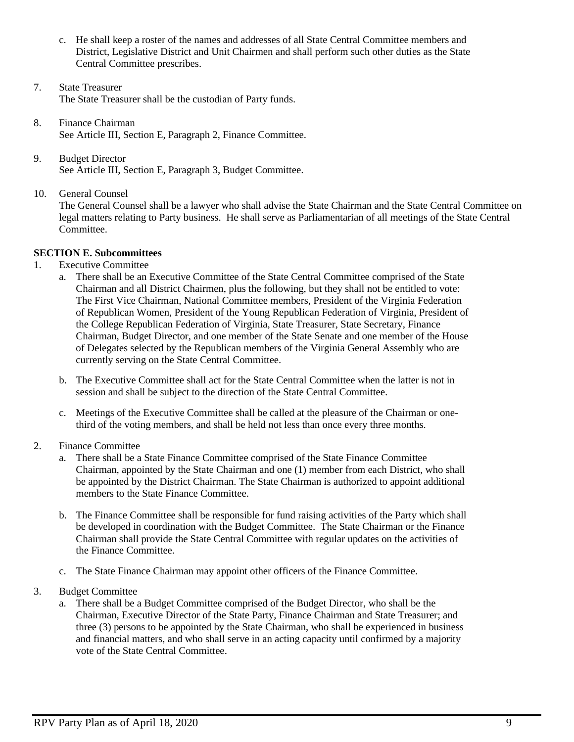- c. He shall keep a roster of the names and addresses of all State Central Committee members and District, Legislative District and Unit Chairmen and shall perform such other duties as the State Central Committee prescribes.
- 7. State Treasurer The State Treasurer shall be the custodian of Party funds.
- 8. Finance Chairman See Article III, Section E, Paragraph 2, Finance Committee.
- 9. Budget Director See Article III, Section E, Paragraph 3, Budget Committee.
- 10. General Counsel

The General Counsel shall be a lawyer who shall advise the State Chairman and the State Central Committee on legal matters relating to Party business. He shall serve as Parliamentarian of all meetings of the State Central Committee.

### **SECTION E. Subcommittees**

- 1. Executive Committee
	- a. There shall be an Executive Committee of the State Central Committee comprised of the State Chairman and all District Chairmen, plus the following, but they shall not be entitled to vote: The First Vice Chairman, National Committee members, President of the Virginia Federation of Republican Women, President of the Young Republican Federation of Virginia, President of the College Republican Federation of Virginia, State Treasurer, State Secretary, Finance Chairman, Budget Director, and one member of the State Senate and one member of the House of Delegates selected by the Republican members of the Virginia General Assembly who are currently serving on the State Central Committee.
	- b. The Executive Committee shall act for the State Central Committee when the latter is not in session and shall be subject to the direction of the State Central Committee.
	- c. Meetings of the Executive Committee shall be called at the pleasure of the Chairman or onethird of the voting members, and shall be held not less than once every three months.
- 2. Finance Committee
	- a. There shall be a State Finance Committee comprised of the State Finance Committee Chairman, appointed by the State Chairman and one (1) member from each District, who shall be appointed by the District Chairman. The State Chairman is authorized to appoint additional members to the State Finance Committee.
	- b. The Finance Committee shall be responsible for fund raising activities of the Party which shall be developed in coordination with the Budget Committee. The State Chairman or the Finance Chairman shall provide the State Central Committee with regular updates on the activities of the Finance Committee.
	- c. The State Finance Chairman may appoint other officers of the Finance Committee.
- 3. Budget Committee
	- a. There shall be a Budget Committee comprised of the Budget Director, who shall be the Chairman, Executive Director of the State Party, Finance Chairman and State Treasurer; and three (3) persons to be appointed by the State Chairman, who shall be experienced in business and financial matters*,* and who shall serve in an acting capacity until confirmed by a majority vote of the State Central Committee.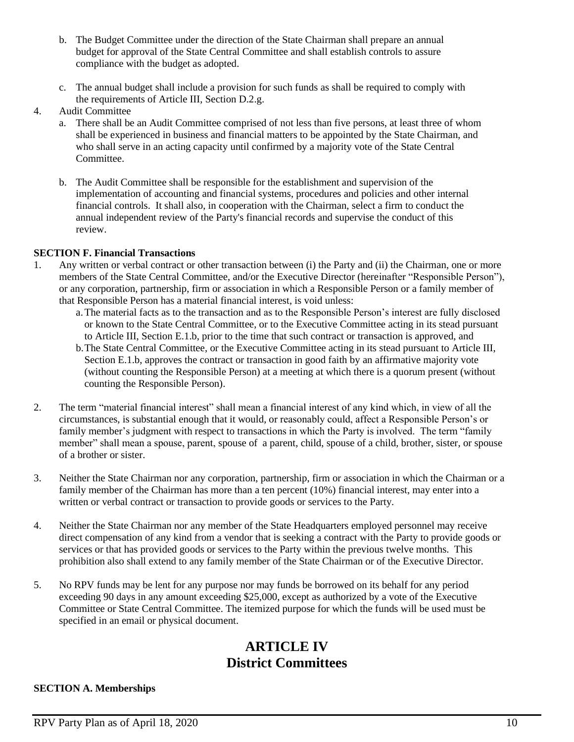- b. The Budget Committee under the direction of the State Chairman shall prepare an annual budget for approval of the State Central Committee and shall establish controls to assure compliance with the budget as adopted.
- c. The annual budget shall include a provision for such funds as shall be required to comply with the requirements of Article III, Section D.2.g.
- 4. Audit Committee
	- a. There shall be an Audit Committee comprised of not less than five persons, at least three of whom shall be experienced in business and financial matters to be appointed by the State Chairman, and who shall serve in an acting capacity until confirmed by a majority vote of the State Central Committee.
	- b. The Audit Committee shall be responsible for the establishment and supervision of the implementation of accounting and financial systems, procedures and policies and other internal financial controls. It shall also, in cooperation with the Chairman, select a firm to conduct the annual independent review of the Party's financial records and supervise the conduct of this review.

#### **SECTION F. Financial Transactions**

- 1. Any written or verbal contract or other transaction between (i) the Party and (ii) the Chairman, one or more members of the State Central Committee, and/or the Executive Director (hereinafter "Responsible Person"), or any corporation, partnership, firm or association in which a Responsible Person or a family member of that Responsible Person has a material financial interest, is void unless:
	- a.The material facts as to the transaction and as to the Responsible Person's interest are fully disclosed or known to the State Central Committee, or to the Executive Committee acting in its stead pursuant to Article III, Section E.1.b, prior to the time that such contract or transaction is approved, and
	- b.The State Central Committee, or the Executive Committee acting in its stead pursuant to Article III, Section E.1.b, approves the contract or transaction in good faith by an affirmative majority vote (without counting the Responsible Person) at a meeting at which there is a quorum present (without counting the Responsible Person).
- 2. The term "material financial interest" shall mean a financial interest of any kind which, in view of all the circumstances, is substantial enough that it would, or reasonably could, affect a Responsible Person's or family member's judgment with respect to transactions in which the Party is involved. The term "family member" shall mean a spouse, parent, spouse of a parent, child, spouse of a child, brother, sister, or spouse of a brother or sister.
- 3. Neither the State Chairman nor any corporation, partnership, firm or association in which the Chairman or a family member of the Chairman has more than a ten percent (10%) financial interest, may enter into a written or verbal contract or transaction to provide goods or services to the Party.
- 4. Neither the State Chairman nor any member of the State Headquarters employed personnel may receive direct compensation of any kind from a vendor that is seeking a contract with the Party to provide goods or services or that has provided goods or services to the Party within the previous twelve months. This prohibition also shall extend to any family member of the State Chairman or of the Executive Director.
- 5. No RPV funds may be lent for any purpose nor may funds be borrowed on its behalf for any period exceeding 90 days in any amount exceeding \$25,000, except as authorized by a vote of the Executive Committee or State Central Committee. The itemized purpose for which the funds will be used must be specified in an email or physical document.

## **ARTICLE IV District Committees**

#### **SECTION A. Memberships**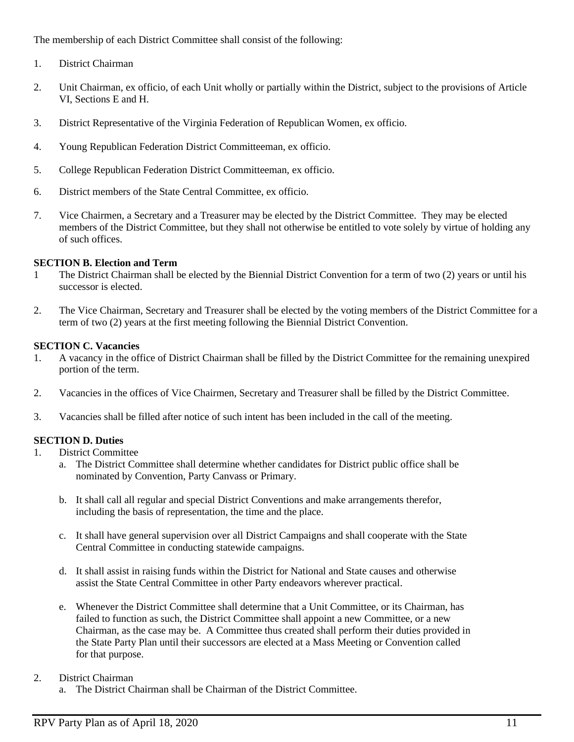The membership of each District Committee shall consist of the following:

- 1. District Chairman
- 2. Unit Chairman, ex officio, of each Unit wholly or partially within the District, subject to the provisions of Article VI, Sections E and H.
- 3. District Representative of the Virginia Federation of Republican Women, ex officio.
- 4. Young Republican Federation District Committeeman, ex officio.
- 5. College Republican Federation District Committeeman, ex officio.
- 6. District members of the State Central Committee, ex officio.
- 7. Vice Chairmen, a Secretary and a Treasurer may be elected by the District Committee. They may be elected members of the District Committee, but they shall not otherwise be entitled to vote solely by virtue of holding any of such offices.

#### **SECTION B. Election and Term**

- 1 The District Chairman shall be elected by the Biennial District Convention for a term of two (2) years or until his successor is elected.
- 2. The Vice Chairman, Secretary and Treasurer shall be elected by the voting members of the District Committee for a term of two (2) years at the first meeting following the Biennial District Convention.

#### **SECTION C. Vacancies**

- 1. A vacancy in the office of District Chairman shall be filled by the District Committee for the remaining unexpired portion of the term.
- 2. Vacancies in the offices of Vice Chairmen, Secretary and Treasurer shall be filled by the District Committee.
- 3. Vacancies shall be filled after notice of such intent has been included in the call of the meeting.

#### **SECTION D. Duties**

- 1. District Committee
	- a. The District Committee shall determine whether candidates for District public office shall be nominated by Convention, Party Canvass or Primary.
	- b. It shall call all regular and special District Conventions and make arrangements therefor, including the basis of representation, the time and the place.
	- c. It shall have general supervision over all District Campaigns and shall cooperate with the State Central Committee in conducting statewide campaigns.
	- d. It shall assist in raising funds within the District for National and State causes and otherwise assist the State Central Committee in other Party endeavors wherever practical.
	- e. Whenever the District Committee shall determine that a Unit Committee, or its Chairman, has failed to function as such, the District Committee shall appoint a new Committee, or a new Chairman, as the case may be. A Committee thus created shall perform their duties provided in the State Party Plan until their successors are elected at a Mass Meeting or Convention called for that purpose.

#### 2. District Chairman

a. The District Chairman shall be Chairman of the District Committee.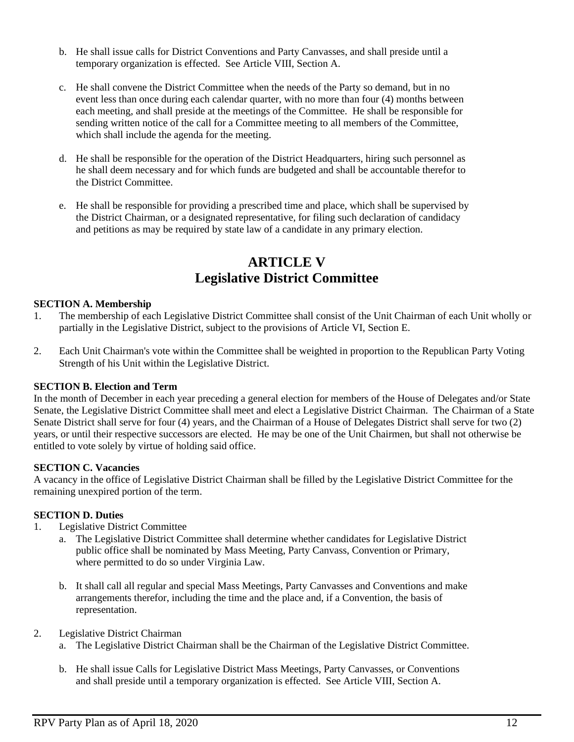- b. He shall issue calls for District Conventions and Party Canvasses, and shall preside until a temporary organization is effected. See Article VIII, Section A.
- c. He shall convene the District Committee when the needs of the Party so demand, but in no event less than once during each calendar quarter, with no more than four (4) months between each meeting, and shall preside at the meetings of the Committee. He shall be responsible for sending written notice of the call for a Committee meeting to all members of the Committee, which shall include the agenda for the meeting.
- d. He shall be responsible for the operation of the District Headquarters, hiring such personnel as he shall deem necessary and for which funds are budgeted and shall be accountable therefor to the District Committee.
- e. He shall be responsible for providing a prescribed time and place, which shall be supervised by the District Chairman, or a designated representative, for filing such declaration of candidacy and petitions as may be required by state law of a candidate in any primary election.

## **ARTICLE V Legislative District Committee**

#### **SECTION A. Membership**

- 1. The membership of each Legislative District Committee shall consist of the Unit Chairman of each Unit wholly or partially in the Legislative District, subject to the provisions of Article VI, Section E.
- 2. Each Unit Chairman's vote within the Committee shall be weighted in proportion to the Republican Party Voting Strength of his Unit within the Legislative District.

#### **SECTION B. Election and Term**

In the month of December in each year preceding a general election for members of the House of Delegates and/or State Senate, the Legislative District Committee shall meet and elect a Legislative District Chairman. The Chairman of a State Senate District shall serve for four (4) years, and the Chairman of a House of Delegates District shall serve for two (2) years, or until their respective successors are elected. He may be one of the Unit Chairmen, but shall not otherwise be entitled to vote solely by virtue of holding said office.

#### **SECTION C. Vacancies**

A vacancy in the office of Legislative District Chairman shall be filled by the Legislative District Committee for the remaining unexpired portion of the term.

#### **SECTION D. Duties**

- 1. Legislative District Committee
	- a. The Legislative District Committee shall determine whether candidates for Legislative District public office shall be nominated by Mass Meeting, Party Canvass, Convention or Primary, where permitted to do so under Virginia Law.
	- b. It shall call all regular and special Mass Meetings, Party Canvasses and Conventions and make arrangements therefor, including the time and the place and, if a Convention, the basis of representation.

#### 2. Legislative District Chairman

- a. The Legislative District Chairman shall be the Chairman of the Legislative District Committee.
- b. He shall issue Calls for Legislative District Mass Meetings, Party Canvasses, or Conventions and shall preside until a temporary organization is effected. See Article VIII, Section A.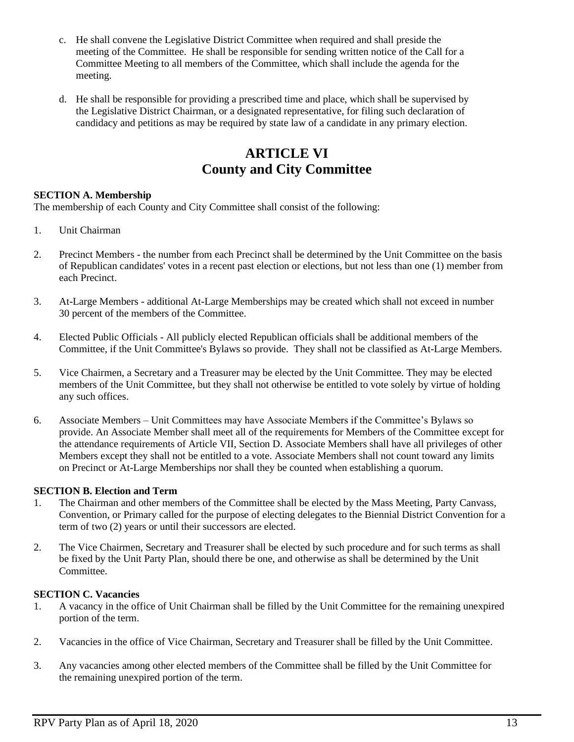- c. He shall convene the Legislative District Committee when required and shall preside the meeting of the Committee. He shall be responsible for sending written notice of the Call for a Committee Meeting to all members of the Committee, which shall include the agenda for the meeting.
- d. He shall be responsible for providing a prescribed time and place, which shall be supervised by the Legislative District Chairman, or a designated representative, for filing such declaration of candidacy and petitions as may be required by state law of a candidate in any primary election.

## **ARTICLE VI County and City Committee**

#### **SECTION A. Membership**

The membership of each County and City Committee shall consist of the following:

- 1. Unit Chairman
- 2. Precinct Members the number from each Precinct shall be determined by the Unit Committee on the basis of Republican candidates' votes in a recent past election or elections, but not less than one (1) member from each Precinct.
- 3. At-Large Members additional At-Large Memberships may be created which shall not exceed in number 30 percent of the members of the Committee.
- 4. Elected Public Officials All publicly elected Republican officials shall be additional members of the Committee, if the Unit Committee's Bylaws so provide. They shall not be classified as At-Large Members.
- 5. Vice Chairmen, a Secretary and a Treasurer may be elected by the Unit Committee. They may be elected members of the Unit Committee, but they shall not otherwise be entitled to vote solely by virtue of holding any such offices.
- 6. Associate Members Unit Committees may have Associate Members if the Committee's Bylaws so provide. An Associate Member shall meet all of the requirements for Members of the Committee except for the attendance requirements of Article VII, Section D. Associate Members shall have all privileges of other Members except they shall not be entitled to a vote. Associate Members shall not count toward any limits on Precinct or At-Large Memberships nor shall they be counted when establishing a quorum.

#### **SECTION B. Election and Term**

- 1. The Chairman and other members of the Committee shall be elected by the Mass Meeting, Party Canvass, Convention, or Primary called for the purpose of electing delegates to the Biennial District Convention for a term of two (2) years or until their successors are elected.
- 2. The Vice Chairmen, Secretary and Treasurer shall be elected by such procedure and for such terms as shall be fixed by the Unit Party Plan, should there be one, and otherwise as shall be determined by the Unit Committee.

#### **SECTION C. Vacancies**

- 1. A vacancy in the office of Unit Chairman shall be filled by the Unit Committee for the remaining unexpired portion of the term.
- 2. Vacancies in the office of Vice Chairman, Secretary and Treasurer shall be filled by the Unit Committee.
- 3. Any vacancies among other elected members of the Committee shall be filled by the Unit Committee for the remaining unexpired portion of the term.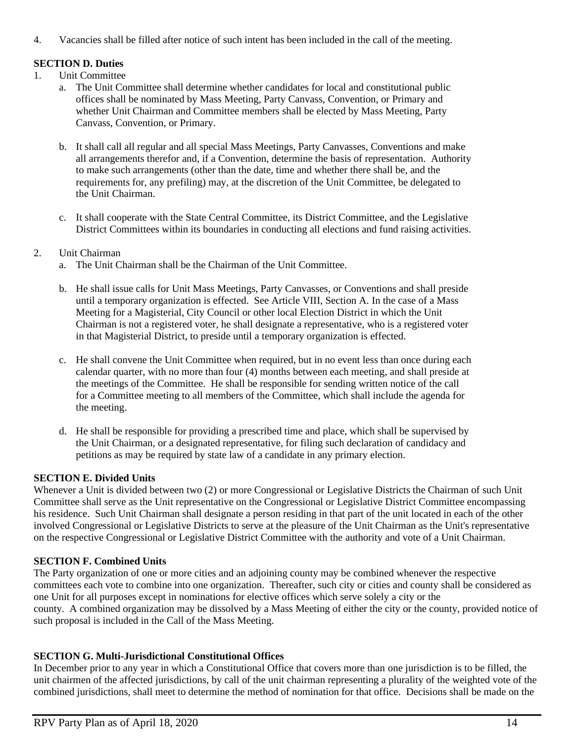4. Vacancies shall be filled after notice of such intent has been included in the call of the meeting.

### **SECTION D. Duties**

- 1. Unit Committee
	- a. The Unit Committee shall determine whether candidates for local and constitutional public offices shall be nominated by Mass Meeting, Party Canvass, Convention, or Primary and whether Unit Chairman and Committee members shall be elected by Mass Meeting, Party Canvass, Convention, or Primary.
	- b. It shall call all regular and all special Mass Meetings, Party Canvasses, Conventions and make all arrangements therefor and, if a Convention, determine the basis of representation. Authority to make such arrangements (other than the date, time and whether there shall be, and the requirements for, any prefiling) may, at the discretion of the Unit Committee, be delegated to the Unit Chairman.
	- c. It shall cooperate with the State Central Committee, its District Committee, and the Legislative District Committees within its boundaries in conducting all elections and fund raising activities.

#### 2. Unit Chairman

- a. The Unit Chairman shall be the Chairman of the Unit Committee.
- b. He shall issue calls for Unit Mass Meetings, Party Canvasses, or Conventions and shall preside until a temporary organization is effected. See Article VIII, Section A. In the case of a Mass Meeting for a Magisterial, City Council or other local Election District in which the Unit Chairman is not a registered voter, he shall designate a representative, who is a registered voter in that Magisterial District, to preside until a temporary organization is effected.
- c. He shall convene the Unit Committee when required, but in no event less than once during each calendar quarter, with no more than four (4) months between each meeting, and shall preside at the meetings of the Committee. He shall be responsible for sending written notice of the call for a Committee meeting to all members of the Committee, which shall include the agenda for the meeting.
- d. He shall be responsible for providing a prescribed time and place, which shall be supervised by the Unit Chairman, or a designated representative, for filing such declaration of candidacy and petitions as may be required by state law of a candidate in any primary election.

#### **SECTION E. Divided Units**

Whenever a Unit is divided between two (2) or more Congressional or Legislative Districts the Chairman of such Unit Committee shall serve as the Unit representative on the Congressional or Legislative District Committee encompassing his residence. Such Unit Chairman shall designate a person residing in that part of the unit located in each of the other involved Congressional or Legislative Districts to serve at the pleasure of the Unit Chairman as the Unit's representative on the respective Congressional or Legislative District Committee with the authority and vote of a Unit Chairman.

### **SECTION F. Combined Units**

The Party organization of one or more cities and an adjoining county may be combined whenever the respective committees each vote to combine into one organization. Thereafter, such city or cities and county shall be considered as one Unit for all purposes except in nominations for elective offices which serve solely a city or the county. A combined organization may be dissolved by a Mass Meeting of either the city or the county, provided notice of such proposal is included in the Call of the Mass Meeting.

### **SECTION G. Multi-Jurisdictional Constitutional Offices**

In December prior to any year in which a Constitutional Office that covers more than one jurisdiction is to be filled, the unit chairmen of the affected jurisdictions, by call of the unit chairman representing a plurality of the weighted vote of the combined jurisdictions, shall meet to determine the method of nomination for that office. Decisions shall be made on the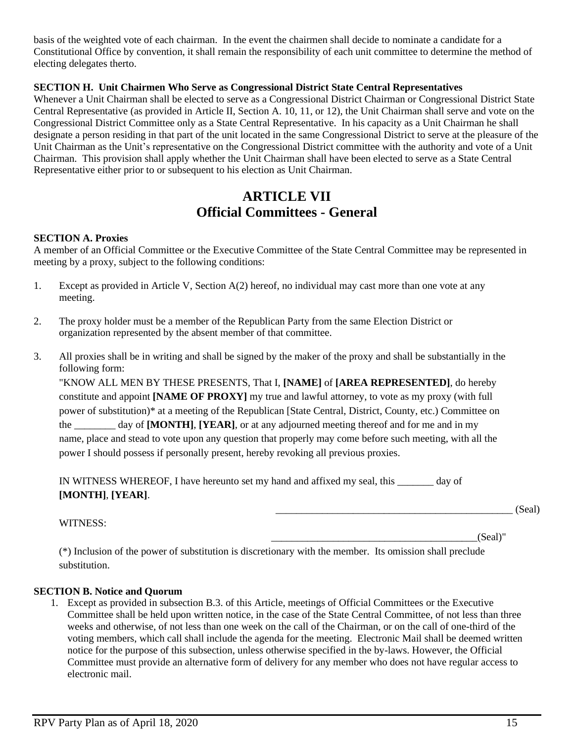basis of the weighted vote of each chairman. In the event the chairmen shall decide to nominate a candidate for a Constitutional Office by convention, it shall remain the responsibility of each unit committee to determine the method of electing delegates therto.

#### **SECTION H. Unit Chairmen Who Serve as Congressional District State Central Representatives**

Whenever a Unit Chairman shall be elected to serve as a Congressional District Chairman or Congressional District State Central Representative (as provided in Article II, Section A. 10, 11, or 12), the Unit Chairman shall serve and vote on the Congressional District Committee only as a State Central Representative. In his capacity as a Unit Chairman he shall designate a person residing in that part of the unit located in the same Congressional District to serve at the pleasure of the Unit Chairman as the Unit's representative on the Congressional District committee with the authority and vote of a Unit Chairman. This provision shall apply whether the Unit Chairman shall have been elected to serve as a State Central Representative either prior to or subsequent to his election as Unit Chairman.

## **ARTICLE VII Official Committees - General**

#### **SECTION A. Proxies**

A member of an Official Committee or the Executive Committee of the State Central Committee may be represented in meeting by a proxy, subject to the following conditions:

- 1. Except as provided in Article V, Section A(2) hereof, no individual may cast more than one vote at any meeting.
- 2. The proxy holder must be a member of the Republican Party from the same Election District or organization represented by the absent member of that committee.
- 3. All proxies shall be in writing and shall be signed by the maker of the proxy and shall be substantially in the following form:

"KNOW ALL MEN BY THESE PRESENTS, That I, **[NAME]** of **[AREA REPRESENTED]**, do hereby constitute and appoint **[NAME OF PROXY]** my true and lawful attorney, to vote as my proxy (with full power of substitution)\* at a meeting of the Republican [State Central, District, County, etc.) Committee on the \_\_\_\_\_\_\_\_ day of **[MONTH]**, **[YEAR]**, or at any adjourned meeting thereof and for me and in my name, place and stead to vote upon any question that properly may come before such meeting, with all the power I should possess if personally present, hereby revoking all previous proxies.

IN WITNESS WHEREOF, I have hereunto set my hand and affixed my seal, this \_\_\_\_\_\_\_ day of **[MONTH]**, **[YEAR]**.

WITNESS:

 $(Seal)$ "

\_\_\_\_\_\_\_\_\_\_\_\_\_\_\_\_\_\_\_\_\_\_\_\_\_\_\_\_\_\_\_\_\_\_\_\_\_\_\_\_\_\_\_\_\_\_ (Seal)

(\*) Inclusion of the power of substitution is discretionary with the member. Its omission shall preclude substitution.

#### **SECTION B. Notice and Quorum**

1. Except as provided in subsection B.3. of this Article, meetings of Official Committees or the Executive Committee shall be held upon written notice, in the case of the State Central Committee, of not less than three weeks and otherwise, of not less than one week on the call of the Chairman, or on the call of one-third of the voting members, which call shall include the agenda for the meeting. Electronic Mail shall be deemed written notice for the purpose of this subsection, unless otherwise specified in the by-laws. However, the Official Committee must provide an alternative form of delivery for any member who does not have regular access to electronic mail.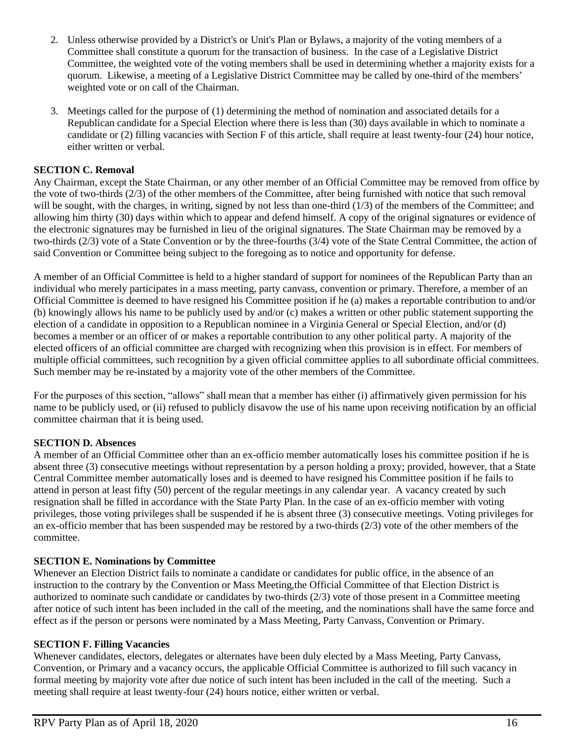- 2. Unless otherwise provided by a District's or Unit's Plan or Bylaws, a majority of the voting members of a Committee shall constitute a quorum for the transaction of business. In the case of a Legislative District Committee, the weighted vote of the voting members shall be used in determining whether a majority exists for a quorum. Likewise, a meeting of a Legislative District Committee may be called by one-third of the members' weighted vote or on call of the Chairman.
- 3. Meetings called for the purpose of (1) determining the method of nomination and associated details for a Republican candidate for a Special Election where there is less than (30) days available in which to nominate a candidate or (2) filling vacancies with Section F of this article, shall require at least twenty-four (24) hour notice, either written or verbal.

#### **SECTION C. Removal**

Any Chairman, except the State Chairman, or any other member of an Official Committee may be removed from office by the vote of two-thirds (2/3) of the other members of the Committee, after being furnished with notice that such removal will be sought, with the charges, in writing, signed by not less than one-third (1/3) of the members of the Committee; and allowing him thirty (30) days within which to appear and defend himself. A copy of the original signatures or evidence of the electronic signatures may be furnished in lieu of the original signatures. The State Chairman may be removed by a two-thirds (2/3) vote of a State Convention or by the three-fourths (3/4) vote of the State Central Committee, the action of said Convention or Committee being subject to the foregoing as to notice and opportunity for defense.

A member of an Official Committee is held to a higher standard of support for nominees of the Republican Party than an individual who merely participates in a mass meeting, party canvass, convention or primary. Therefore, a member of an Official Committee is deemed to have resigned his Committee position if he (a) makes a reportable contribution to and/or (b) knowingly allows his name to be publicly used by and/or (c) makes a written or other public statement supporting the election of a candidate in opposition to a Republican nominee in a Virginia General or Special Election, and/or (d) becomes a member or an officer of or makes a reportable contribution to any other political party. A majority of the elected officers of an official committee are charged with recognizing when this provision is in effect. For members of multiple official committees, such recognition by a given official committee applies to all subordinate official committees. Such member may be re-instated by a majority vote of the other members of the Committee.

For the purposes of this section, "allows" shall mean that a member has either (i) affirmatively given permission for his name to be publicly used, or (ii) refused to publicly disavow the use of his name upon receiving notification by an official committee chairman that it is being used.

#### **SECTION D. Absences**

A member of an Official Committee other than an ex-officio member automatically loses his committee position if he is absent three (3) consecutive meetings without representation by a person holding a proxy; provided, however, that a State Central Committee member automatically loses and is deemed to have resigned his Committee position if he fails to attend in person at least fifty (50) percent of the regular meetings in any calendar year. A vacancy created by such resignation shall be filled in accordance with the State Party Plan. In the case of an ex-officio member with voting privileges, those voting privileges shall be suspended if he is absent three (3) consecutive meetings. Voting privileges for an ex-officio member that has been suspended may be restored by a two-thirds (2/3) vote of the other members of the committee.

#### **SECTION E. Nominations by Committee**

Whenever an Election District fails to nominate a candidate or candidates for public office, in the absence of an instruction to the contrary by the Convention or Mass Meeting,the Official Committee of that Election District is authorized to nominate such candidate or candidates by two-thirds (2/3) vote of those present in a Committee meeting after notice of such intent has been included in the call of the meeting, and the nominations shall have the same force and effect as if the person or persons were nominated by a Mass Meeting, Party Canvass, Convention or Primary.

#### **SECTION F. Filling Vacancies**

Whenever candidates, electors, delegates or alternates have been duly elected by a Mass Meeting, Party Canvass, Convention, or Primary and a vacancy occurs, the applicable Official Committee is authorized to fill such vacancy in formal meeting by majority vote after due notice of such intent has been included in the call of the meeting. Such a meeting shall require at least twenty-four (24) hours notice, either written or verbal.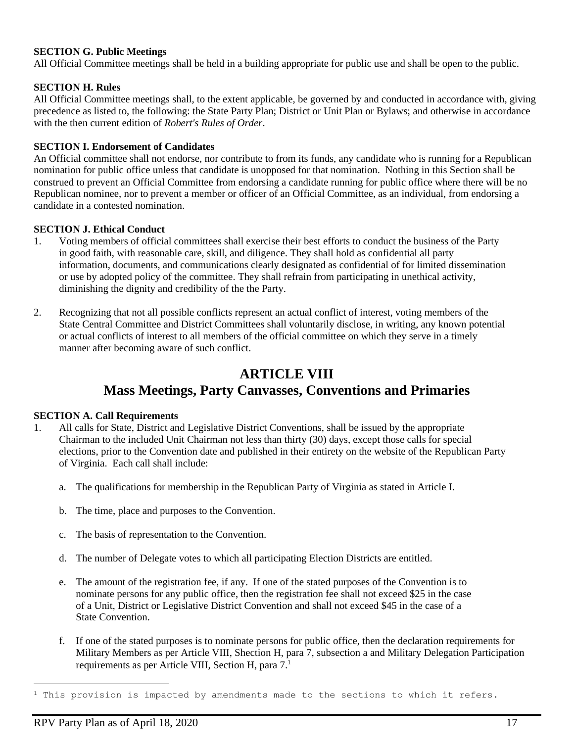#### **SECTION G. Public Meetings**

All Official Committee meetings shall be held in a building appropriate for public use and shall be open to the public.

#### **SECTION H. Rules**

All Official Committee meetings shall, to the extent applicable, be governed by and conducted in accordance with, giving precedence as listed to, the following: the State Party Plan; District or Unit Plan or Bylaws; and otherwise in accordance with the then current edition of *Robert's Rules of Order*.

#### **SECTION I. Endorsement of Candidates**

An Official committee shall not endorse, nor contribute to from its funds, any candidate who is running for a Republican nomination for public office unless that candidate is unopposed for that nomination. Nothing in this Section shall be construed to prevent an Official Committee from endorsing a candidate running for public office where there will be no Republican nominee, nor to prevent a member or officer of an Official Committee, as an individual, from endorsing a candidate in a contested nomination.

#### **SECTION J. Ethical Conduct**

- 1. Voting members of official committees shall exercise their best efforts to conduct the business of the Party in good faith, with reasonable care, skill, and diligence. They shall hold as confidential all party information, documents, and communications clearly designated as confidential of for limited dissemination or use by adopted policy of the committee. They shall refrain from participating in unethical activity, diminishing the dignity and credibility of the the Party.
- 2. Recognizing that not all possible conflicts represent an actual conflict of interest, voting members of the State Central Committee and District Committees shall voluntarily disclose, in writing, any known potential or actual conflicts of interest to all members of the official committee on which they serve in a timely manner after becoming aware of such conflict.

## **ARTICLE VIII Mass Meetings, Party Canvasses, Conventions and Primaries**

#### **SECTION A. Call Requirements**

- 1. All calls for State, District and Legislative District Conventions, shall be issued by the appropriate Chairman to the included Unit Chairman not less than thirty (30) days, except those calls for special elections, prior to the Convention date and published in their entirety on the website of the Republican Party of Virginia. Each call shall include:
	- a. The qualifications for membership in the Republican Party of Virginia as stated in Article I.
	- b. The time, place and purposes to the Convention.
	- c. The basis of representation to the Convention.
	- d. The number of Delegate votes to which all participating Election Districts are entitled.
	- e. The amount of the registration fee, if any. If one of the stated purposes of the Convention is to nominate persons for any public office, then the registration fee shall not exceed \$25 in the case of a Unit, District or Legislative District Convention and shall not exceed \$45 in the case of a State Convention.
	- f. If one of the stated purposes is to nominate persons for public office, then the declaration requirements for Military Members as per Article VIII, Shection H, para 7, subsection a and Military Delegation Participation requirements as per Article VIII, Section H, para 7. 1

 $1$  This provision is impacted by amendments made to the sections to which it refers.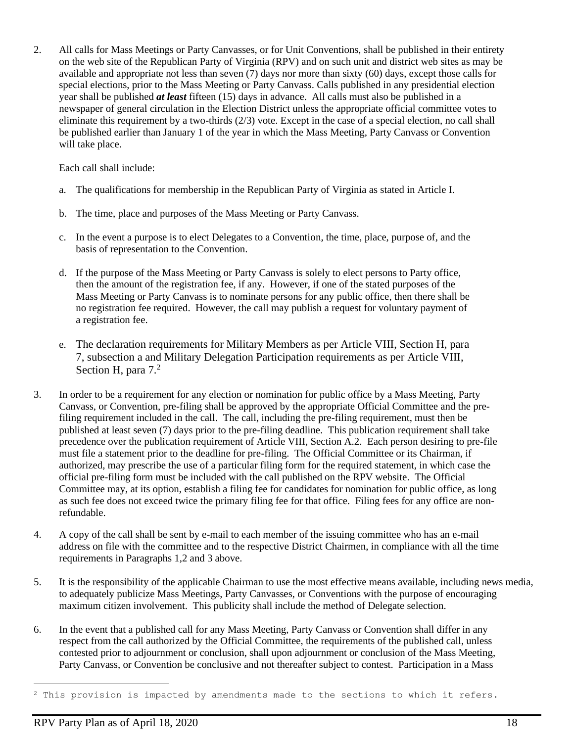2. All calls for Mass Meetings or Party Canvasses, or for Unit Conventions, shall be published in their entirety on the web site of the Republican Party of Virginia (RPV) and on such unit and district web sites as may be available and appropriate not less than seven (7) days nor more than sixty (60) days, except those calls for special elections, prior to the Mass Meeting or Party Canvass. Calls published in any presidential election year shall be published *at least* fifteen (15) days in advance. All calls must also be published in a newspaper of general circulation in the Election District unless the appropriate official committee votes to eliminate this requirement by a two-thirds (2/3) vote. Except in the case of a special election, no call shall be published earlier than January 1 of the year in which the Mass Meeting, Party Canvass or Convention will take place.

Each call shall include:

- a. The qualifications for membership in the Republican Party of Virginia as stated in Article I.
- b. The time, place and purposes of the Mass Meeting or Party Canvass.
- c. In the event a purpose is to elect Delegates to a Convention, the time, place, purpose of, and the basis of representation to the Convention.
- d. If the purpose of the Mass Meeting or Party Canvass is solely to elect persons to Party office, then the amount of the registration fee, if any. However, if one of the stated purposes of the Mass Meeting or Party Canvass is to nominate persons for any public office, then there shall be no registration fee required. However, the call may publish a request for voluntary payment of a registration fee.
- e. The declaration requirements for Military Members as per Article VIII, Section H, para 7, subsection a and Military Delegation Participation requirements as per Article VIII, Section H, para 7.<sup>2</sup>
- 3. In order to be a requirement for any election or nomination for public office by a Mass Meeting, Party Canvass, or Convention, pre-filing shall be approved by the appropriate Official Committee and the prefiling requirement included in the call. The call, including the pre-filing requirement, must then be published at least seven (7) days prior to the pre-filing deadline. This publication requirement shall take precedence over the publication requirement of Article VIII, Section A.2. Each person desiring to pre-file must file a statement prior to the deadline for pre-filing. The Official Committee or its Chairman, if authorized, may prescribe the use of a particular filing form for the required statement, in which case the official pre-filing form must be included with the call published on the RPV website. The Official Committee may, at its option, establish a filing fee for candidates for nomination for public office, as long as such fee does not exceed twice the primary filing fee for that office. Filing fees for any office are nonrefundable.
- 4. A copy of the call shall be sent by e-mail to each member of the issuing committee who has an e-mail address on file with the committee and to the respective District Chairmen, in compliance with all the time requirements in Paragraphs 1,2 and 3 above.
- 5. It is the responsibility of the applicable Chairman to use the most effective means available, including news media, to adequately publicize Mass Meetings, Party Canvasses, or Conventions with the purpose of encouraging maximum citizen involvement. This publicity shall include the method of Delegate selection.
- 6. In the event that a published call for any Mass Meeting, Party Canvass or Convention shall differ in any respect from the call authorized by the Official Committee, the requirements of the published call, unless contested prior to adjournment or conclusion, shall upon adjournment or conclusion of the Mass Meeting, Party Canvass, or Convention be conclusive and not thereafter subject to contest. Participation in a Mass

<sup>&</sup>lt;sup>2</sup> This provision is impacted by amendments made to the sections to which it refers.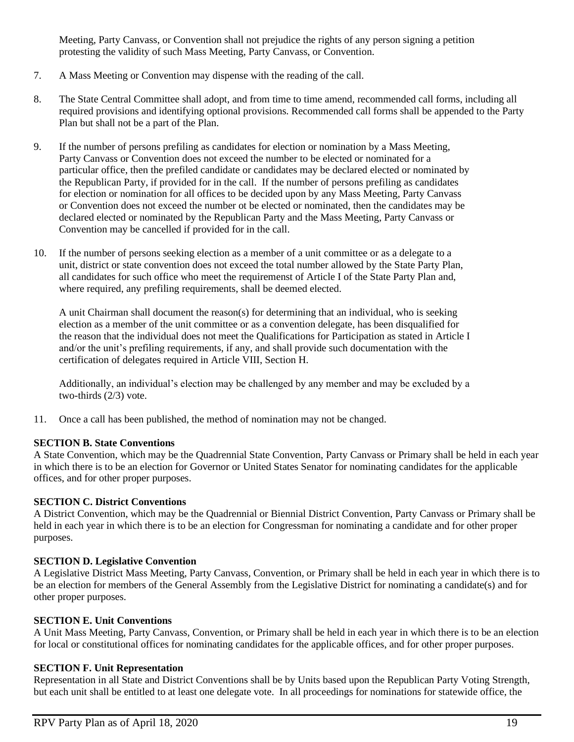Meeting, Party Canvass, or Convention shall not prejudice the rights of any person signing a petition protesting the validity of such Mass Meeting, Party Canvass, or Convention.

- 7. A Mass Meeting or Convention may dispense with the reading of the call.
- 8. The State Central Committee shall adopt, and from time to time amend, recommended call forms, including all required provisions and identifying optional provisions. Recommended call forms shall be appended to the Party Plan but shall not be a part of the Plan.
- 9. If the number of persons prefiling as candidates for election or nomination by a Mass Meeting, Party Canvass or Convention does not exceed the number to be elected or nominated for a particular office, then the prefiled candidate or candidates may be declared elected or nominated by the Republican Party, if provided for in the call. If the number of persons prefiling as candidates for election or nomination for all offices to be decided upon by any Mass Meeting, Party Canvass or Convention does not exceed the number ot be elected or nominated, then the candidates may be declared elected or nominated by the Republican Party and the Mass Meeting, Party Canvass or Convention may be cancelled if provided for in the call.
- 10. If the number of persons seeking election as a member of a unit committee or as a delegate to a unit, district or state convention does not exceed the total number allowed by the State Party Plan, all candidates for such office who meet the requiremenst of Article I of the State Party Plan and, where required, any prefiling requirements, shall be deemed elected.

A unit Chairman shall document the reason(s) for determining that an individual, who is seeking election as a member of the unit committee or as a convention delegate, has been disqualified for the reason that the individual does not meet the Qualifications for Participation as stated in Article I and/or the unit's prefiling requirements, if any, and shall provide such documentation with the certification of delegates required in Article VIII, Section H.

Additionally, an individual's election may be challenged by any member and may be excluded by a two-thirds (2/3) vote.

11. Once a call has been published, the method of nomination may not be changed.

#### **SECTION B. State Conventions**

A State Convention, which may be the Quadrennial State Convention, Party Canvass or Primary shall be held in each year in which there is to be an election for Governor or United States Senator for nominating candidates for the applicable offices, and for other proper purposes.

#### **SECTION C. District Conventions**

A District Convention, which may be the Quadrennial or Biennial District Convention, Party Canvass or Primary shall be held in each year in which there is to be an election for Congressman for nominating a candidate and for other proper purposes.

#### **SECTION D. Legislative Convention**

A Legislative District Mass Meeting, Party Canvass, Convention, or Primary shall be held in each year in which there is to be an election for members of the General Assembly from the Legislative District for nominating a candidate(s) and for other proper purposes.

#### **SECTION E. Unit Conventions**

A Unit Mass Meeting, Party Canvass, Convention, or Primary shall be held in each year in which there is to be an election for local or constitutional offices for nominating candidates for the applicable offices, and for other proper purposes.

#### **SECTION F. Unit Representation**

Representation in all State and District Conventions shall be by Units based upon the Republican Party Voting Strength, but each unit shall be entitled to at least one delegate vote. In all proceedings for nominations for statewide office, the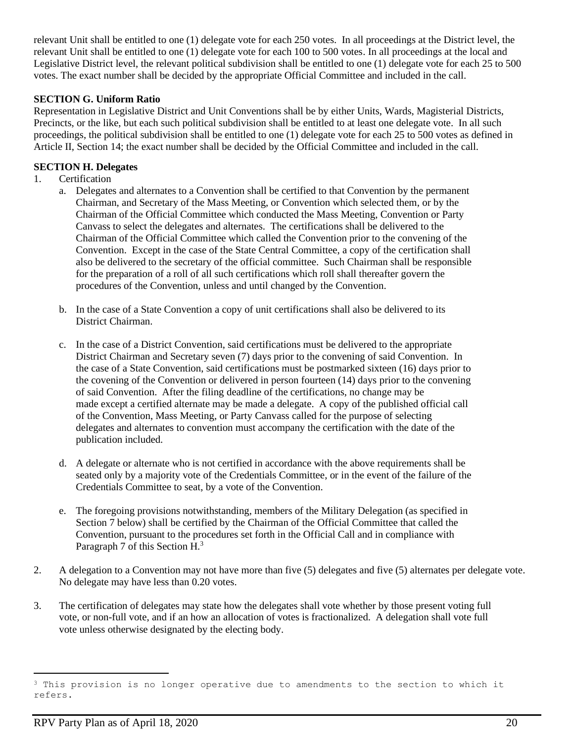relevant Unit shall be entitled to one (1) delegate vote for each 250 votes. In all proceedings at the District level, the relevant Unit shall be entitled to one (1) delegate vote for each 100 to 500 votes. In all proceedings at the local and Legislative District level, the relevant political subdivision shall be entitled to one (1) delegate vote for each 25 to 500 votes. The exact number shall be decided by the appropriate Official Committee and included in the call.

#### **SECTION G. Uniform Ratio**

Representation in Legislative District and Unit Conventions shall be by either Units, Wards, Magisterial Districts, Precincts, or the like, but each such political subdivision shall be entitled to at least one delegate vote. In all such proceedings, the political subdivision shall be entitled to one (1) delegate vote for each 25 to 500 votes as defined in Article II, Section 14; the exact number shall be decided by the Official Committee and included in the call.

#### **SECTION H. Delegates**

- 1. Certification
	- a. Delegates and alternates to a Convention shall be certified to that Convention by the permanent Chairman, and Secretary of the Mass Meeting, or Convention which selected them, or by the Chairman of the Official Committee which conducted the Mass Meeting, Convention or Party Canvass to select the delegates and alternates. The certifications shall be delivered to the Chairman of the Official Committee which called the Convention prior to the convening of the Convention. Except in the case of the State Central Committee, a copy of the certification shall also be delivered to the secretary of the official committee. Such Chairman shall be responsible for the preparation of a roll of all such certifications which roll shall thereafter govern the procedures of the Convention, unless and until changed by the Convention.
	- b. In the case of a State Convention a copy of unit certifications shall also be delivered to its District Chairman.
	- c. In the case of a District Convention, said certifications must be delivered to the appropriate District Chairman and Secretary seven (7) days prior to the convening of said Convention. In the case of a State Convention, said certifications must be postmarked sixteen (16) days prior to the covening of the Convention or delivered in person fourteen (14) days prior to the convening of said Convention. After the filing deadline of the certifications, no change may be made except a certified alternate may be made a delegate. A copy of the published official call of the Convention, Mass Meeting, or Party Canvass called for the purpose of selecting delegates and alternates to convention must accompany the certification with the date of the publication included.
	- d. A delegate or alternate who is not certified in accordance with the above requirements shall be seated only by a majority vote of the Credentials Committee, or in the event of the failure of the Credentials Committee to seat, by a vote of the Convention.
	- e. The foregoing provisions notwithstanding, members of the Military Delegation (as specified in Section 7 below) shall be certified by the Chairman of the Official Committee that called the Convention, pursuant to the procedures set forth in the Official Call and in compliance with Paragraph 7 of this Section H.<sup>3</sup>
- 2. A delegation to a Convention may not have more than five (5) delegates and five (5) alternates per delegate vote. No delegate may have less than 0.20 votes.
- 3. The certification of delegates may state how the delegates shall vote whether by those present voting full vote, or non-full vote, and if an how an allocation of votes is fractionalized. A delegation shall vote full vote unless otherwise designated by the electing body.

<sup>&</sup>lt;sup>3</sup> This provision is no longer operative due to amendments to the section to which it refers.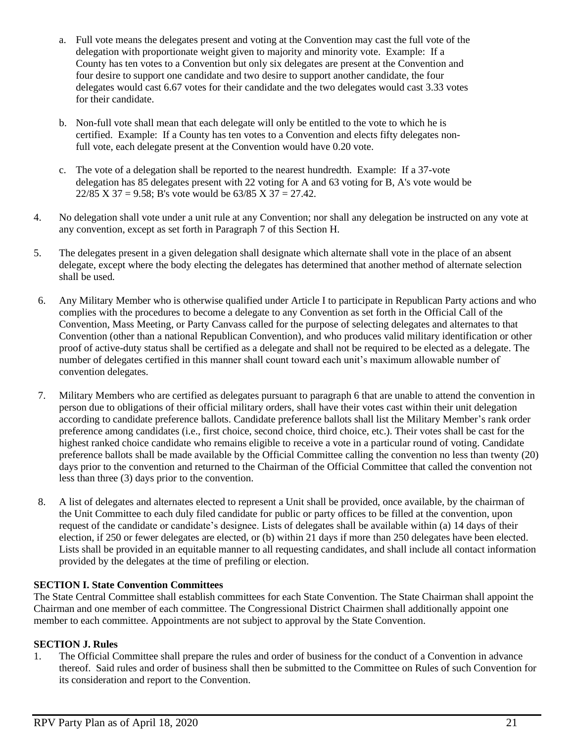- a. Full vote means the delegates present and voting at the Convention may cast the full vote of the delegation with proportionate weight given to majority and minority vote. Example: If a County has ten votes to a Convention but only six delegates are present at the Convention and four desire to support one candidate and two desire to support another candidate, the four delegates would cast 6.67 votes for their candidate and the two delegates would cast 3.33 votes for their candidate.
- b. Non-full vote shall mean that each delegate will only be entitled to the vote to which he is certified. Example: If a County has ten votes to a Convention and elects fifty delegates nonfull vote, each delegate present at the Convention would have 0.20 vote.
- c. The vote of a delegation shall be reported to the nearest hundredth. Example: If a 37-vote delegation has 85 delegates present with 22 voting for A and 63 voting for B, A's vote would be  $22/85$  X 37 = 9.58; B's vote would be 63/85 X 37 = 27.42.
- 4. No delegation shall vote under a unit rule at any Convention; nor shall any delegation be instructed on any vote at any convention, except as set forth in Paragraph 7 of this Section H.
- 5. The delegates present in a given delegation shall designate which alternate shall vote in the place of an absent delegate, except where the body electing the delegates has determined that another method of alternate selection shall be used.
- 6. Any Military Member who is otherwise qualified under Article I to participate in Republican Party actions and who complies with the procedures to become a delegate to any Convention as set forth in the Official Call of the Convention, Mass Meeting, or Party Canvass called for the purpose of selecting delegates and alternates to that Convention (other than a national Republican Convention), and who produces valid military identification or other proof of active-duty status shall be certified as a delegate and shall not be required to be elected as a delegate. The number of delegates certified in this manner shall count toward each unit's maximum allowable number of convention delegates.
- 7. Military Members who are certified as delegates pursuant to paragraph 6 that are unable to attend the convention in person due to obligations of their official military orders, shall have their votes cast within their unit delegation according to candidate preference ballots. Candidate preference ballots shall list the Military Member's rank order preference among candidates (i.e., first choice, second choice, third choice, etc.). Their votes shall be cast for the highest ranked choice candidate who remains eligible to receive a vote in a particular round of voting. Candidate preference ballots shall be made available by the Official Committee calling the convention no less than twenty (20) days prior to the convention and returned to the Chairman of the Official Committee that called the convention not less than three (3) days prior to the convention.
- 8. A list of delegates and alternates elected to represent a Unit shall be provided, once available, by the chairman of the Unit Committee to each duly filed candidate for public or party offices to be filled at the convention, upon request of the candidate or candidate's designee. Lists of delegates shall be available within (a) 14 days of their election, if 250 or fewer delegates are elected, or (b) within 21 days if more than 250 delegates have been elected. Lists shall be provided in an equitable manner to all requesting candidates, and shall include all contact information provided by the delegates at the time of prefiling or election.

#### **SECTION I. State Convention Committees**

The State Central Committee shall establish committees for each State Convention. The State Chairman shall appoint the Chairman and one member of each committee. The Congressional District Chairmen shall additionally appoint one member to each committee. Appointments are not subject to approval by the State Convention.

#### **SECTION J. Rules**

1. The Official Committee shall prepare the rules and order of business for the conduct of a Convention in advance thereof. Said rules and order of business shall then be submitted to the Committee on Rules of such Convention for its consideration and report to the Convention.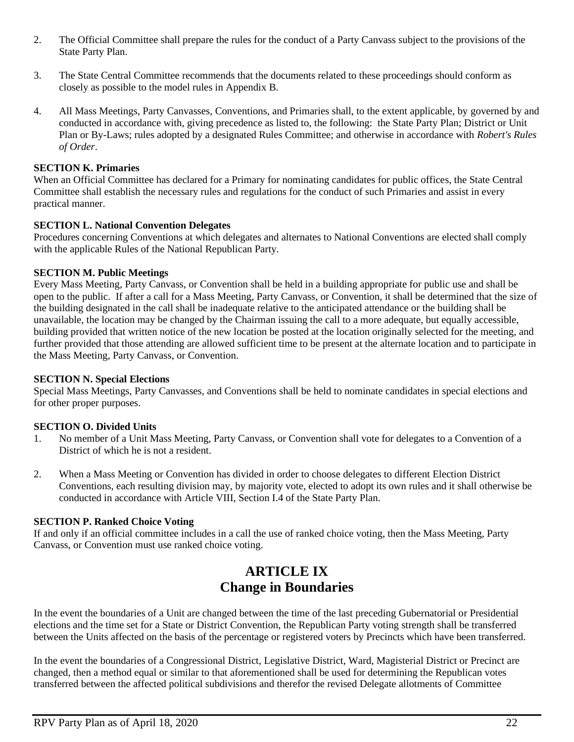- 2. The Official Committee shall prepare the rules for the conduct of a Party Canvass subject to the provisions of the State Party Plan.
- 3. The State Central Committee recommends that the documents related to these proceedings should conform as closely as possible to the model rules in Appendix B.
- 4. All Mass Meetings, Party Canvasses, Conventions, and Primaries shall, to the extent applicable, by governed by and conducted in accordance with, giving precedence as listed to, the following: the State Party Plan; District or Unit Plan or By-Laws; rules adopted by a designated Rules Committee; and otherwise in accordance with *Robert's Rules of Order*.

#### **SECTION K. Primaries**

When an Official Committee has declared for a Primary for nominating candidates for public offices, the State Central Committee shall establish the necessary rules and regulations for the conduct of such Primaries and assist in every practical manner.

#### **SECTION L. National Convention Delegates**

Procedures concerning Conventions at which delegates and alternates to National Conventions are elected shall comply with the applicable Rules of the National Republican Party.

#### **SECTION M. Public Meetings**

Every Mass Meeting, Party Canvass, or Convention shall be held in a building appropriate for public use and shall be open to the public. If after a call for a Mass Meeting, Party Canvass, or Convention, it shall be determined that the size of the building designated in the call shall be inadequate relative to the anticipated attendance or the building shall be unavailable, the location may be changed by the Chairman issuing the call to a more adequate, but equally accessible, building provided that written notice of the new location be posted at the location originally selected for the meeting, and further provided that those attending are allowed sufficient time to be present at the alternate location and to participate in the Mass Meeting, Party Canvass, or Convention.

#### **SECTION N. Special Elections**

Special Mass Meetings, Party Canvasses, and Conventions shall be held to nominate candidates in special elections and for other proper purposes.

#### **SECTION O. Divided Units**

- 1. No member of a Unit Mass Meeting, Party Canvass, or Convention shall vote for delegates to a Convention of a District of which he is not a resident.
- 2. When a Mass Meeting or Convention has divided in order to choose delegates to different Election District Conventions, each resulting division may, by majority vote, elected to adopt its own rules and it shall otherwise be conducted in accordance with Article VIII, Section I.4 of the State Party Plan.

#### **SECTION P. Ranked Choice Voting**

If and only if an official committee includes in a call the use of ranked choice voting, then the Mass Meeting, Party Canvass, or Convention must use ranked choice voting.

## **ARTICLE IX Change in Boundaries**

In the event the boundaries of a Unit are changed between the time of the last preceding Gubernatorial or Presidential elections and the time set for a State or District Convention, the Republican Party voting strength shall be transferred between the Units affected on the basis of the percentage or registered voters by Precincts which have been transferred.

In the event the boundaries of a Congressional District, Legislative District, Ward, Magisterial District or Precinct are changed, then a method equal or similar to that aforementioned shall be used for determining the Republican votes transferred between the affected political subdivisions and therefor the revised Delegate allotments of Committee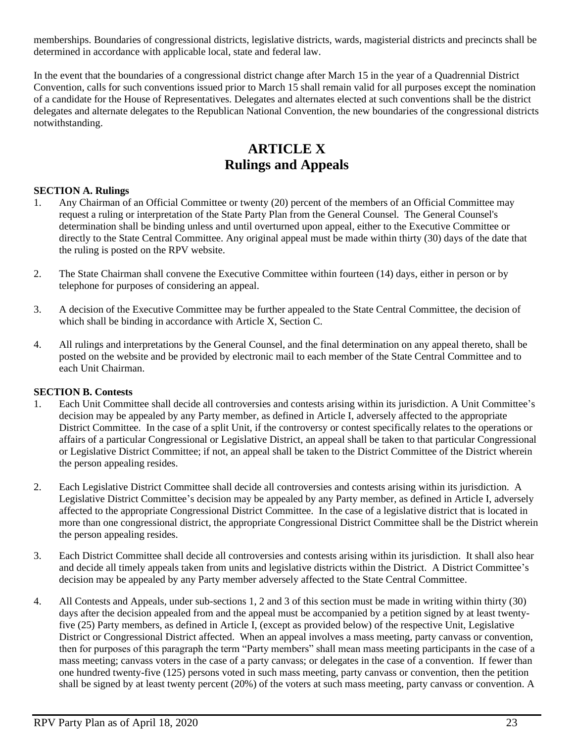memberships. Boundaries of congressional districts, legislative districts, wards, magisterial districts and precincts shall be determined in accordance with applicable local, state and federal law.

In the event that the boundaries of a congressional district change after March 15 in the year of a Quadrennial District Convention, calls for such conventions issued prior to March 15 shall remain valid for all purposes except the nomination of a candidate for the House of Representatives. Delegates and alternates elected at such conventions shall be the district delegates and alternate delegates to the Republican National Convention, the new boundaries of the congressional districts notwithstanding.

## **ARTICLE X Rulings and Appeals**

#### **SECTION A. Rulings**

- 1. Any Chairman of an Official Committee or twenty (20) percent of the members of an Official Committee may request a ruling or interpretation of the State Party Plan from the General Counsel. The General Counsel's determination shall be binding unless and until overturned upon appeal, either to the Executive Committee or directly to the State Central Committee. Any original appeal must be made within thirty (30) days of the date that the ruling is posted on the RPV website.
- 2. The State Chairman shall convene the Executive Committee within fourteen (14) days, either in person or by telephone for purposes of considering an appeal.
- 3. A decision of the Executive Committee may be further appealed to the State Central Committee, the decision of which shall be binding in accordance with Article X, Section C.
- 4. All rulings and interpretations by the General Counsel, and the final determination on any appeal thereto, shall be posted on the website and be provided by electronic mail to each member of the State Central Committee and to each Unit Chairman.

#### **SECTION B. Contests**

- 1. Each Unit Committee shall decide all controversies and contests arising within its jurisdiction. A Unit Committee's decision may be appealed by any Party member, as defined in Article I, adversely affected to the appropriate District Committee. In the case of a split Unit, if the controversy or contest specifically relates to the operations or affairs of a particular Congressional or Legislative District, an appeal shall be taken to that particular Congressional or Legislative District Committee; if not, an appeal shall be taken to the District Committee of the District wherein the person appealing resides.
- 2. Each Legislative District Committee shall decide all controversies and contests arising within its jurisdiction. A Legislative District Committee's decision may be appealed by any Party member, as defined in Article I, adversely affected to the appropriate Congressional District Committee. In the case of a legislative district that is located in more than one congressional district, the appropriate Congressional District Committee shall be the District wherein the person appealing resides.
- 3. Each District Committee shall decide all controversies and contests arising within its jurisdiction. It shall also hear and decide all timely appeals taken from units and legislative districts within the District. A District Committee's decision may be appealed by any Party member adversely affected to the State Central Committee.
- 4. All Contests and Appeals, under sub-sections 1, 2 and 3 of this section must be made in writing within thirty (30) days after the decision appealed from and the appeal must be accompanied by a petition signed by at least twentyfive (25) Party members, as defined in Article I, (except as provided below) of the respective Unit, Legislative District or Congressional District affected. When an appeal involves a mass meeting, party canvass or convention, then for purposes of this paragraph the term "Party members" shall mean mass meeting participants in the case of a mass meeting; canvass voters in the case of a party canvass; or delegates in the case of a convention. If fewer than one hundred twenty-five (125) persons voted in such mass meeting, party canvass or convention, then the petition shall be signed by at least twenty percent (20%) of the voters at such mass meeting, party canvass or convention. A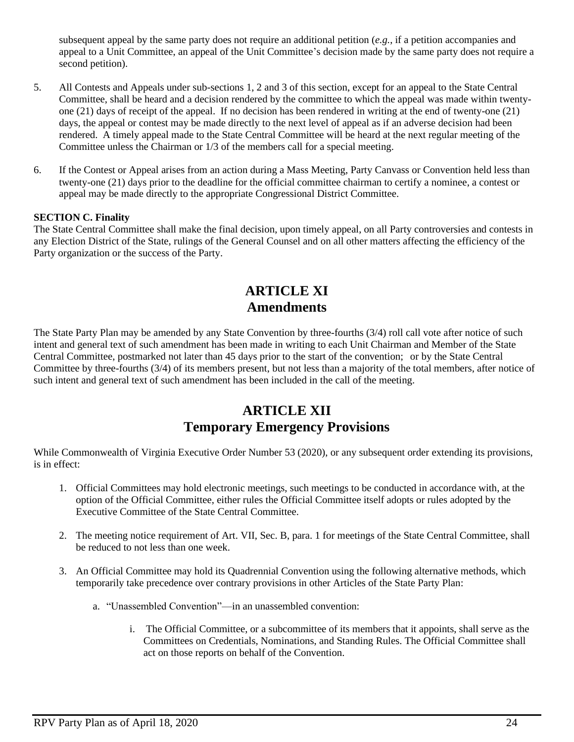subsequent appeal by the same party does not require an additional petition (*e.g.*, if a petition accompanies and appeal to a Unit Committee, an appeal of the Unit Committee's decision made by the same party does not require a second petition).

- 5. All Contests and Appeals under sub-sections 1, 2 and 3 of this section, except for an appeal to the State Central Committee, shall be heard and a decision rendered by the committee to which the appeal was made within twentyone (21) days of receipt of the appeal. If no decision has been rendered in writing at the end of twenty-one (21) days, the appeal or contest may be made directly to the next level of appeal as if an adverse decision had been rendered. A timely appeal made to the State Central Committee will be heard at the next regular meeting of the Committee unless the Chairman or 1/3 of the members call for a special meeting.
- 6. If the Contest or Appeal arises from an action during a Mass Meeting, Party Canvass or Convention held less than twenty-one (21) days prior to the deadline for the official committee chairman to certify a nominee, a contest or appeal may be made directly to the appropriate Congressional District Committee.

#### **SECTION C. Finality**

The State Central Committee shall make the final decision, upon timely appeal, on all Party controversies and contests in any Election District of the State, rulings of the General Counsel and on all other matters affecting the efficiency of the Party organization or the success of the Party.

## **ARTICLE XI Amendments**

The State Party Plan may be amended by any State Convention by three-fourths (3/4) roll call vote after notice of such intent and general text of such amendment has been made in writing to each Unit Chairman and Member of the State Central Committee, postmarked not later than 45 days prior to the start of the convention; or by the State Central Committee by three-fourths (3/4) of its members present, but not less than a majority of the total members, after notice of such intent and general text of such amendment has been included in the call of the meeting.

## **ARTICLE XII Temporary Emergency Provisions**

While Commonwealth of Virginia Executive Order Number 53 (2020), or any subsequent order extending its provisions, is in effect:

- 1. Official Committees may hold electronic meetings, such meetings to be conducted in accordance with, at the option of the Official Committee, either rules the Official Committee itself adopts or rules adopted by the Executive Committee of the State Central Committee.
- 2. The meeting notice requirement of Art. VII, Sec. B, para. 1 for meetings of the State Central Committee, shall be reduced to not less than one week.
- 3. An Official Committee may hold its Quadrennial Convention using the following alternative methods, which temporarily take precedence over contrary provisions in other Articles of the State Party Plan:
	- a. "Unassembled Convention"—in an unassembled convention:
		- i. The Official Committee, or a subcommittee of its members that it appoints, shall serve as the Committees on Credentials, Nominations, and Standing Rules. The Official Committee shall act on those reports on behalf of the Convention.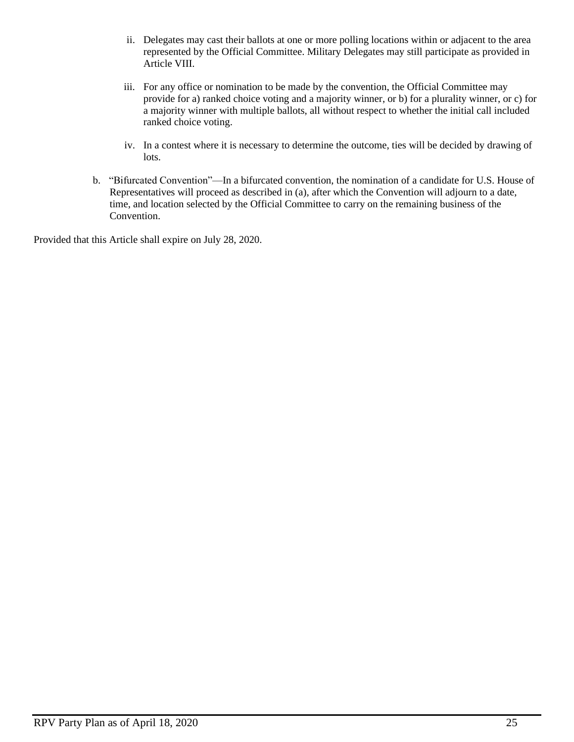- ii. Delegates may cast their ballots at one or more polling locations within or adjacent to the area represented by the Official Committee. Military Delegates may still participate as provided in Article VIII.
- iii. For any office or nomination to be made by the convention, the Official Committee may provide for a) ranked choice voting and a majority winner, or b) for a plurality winner, or c) for a majority winner with multiple ballots, all without respect to whether the initial call included ranked choice voting.
- iv. In a contest where it is necessary to determine the outcome, ties will be decided by drawing of lots.
- b. "Bifurcated Convention"—In a bifurcated convention, the nomination of a candidate for U.S. House of Representatives will proceed as described in (a), after which the Convention will adjourn to a date, time, and location selected by the Official Committee to carry on the remaining business of the Convention.

Provided that this Article shall expire on July 28, 2020.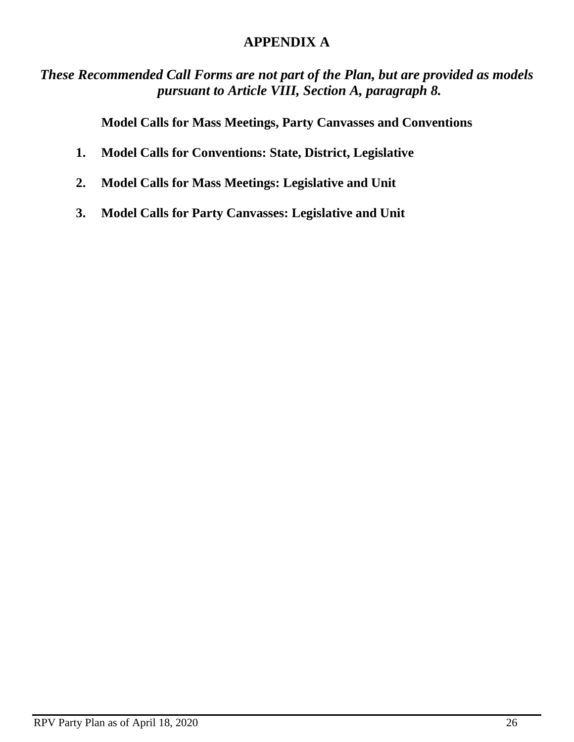## **APPENDIX A**

*These Recommended Call Forms are not part of the Plan, but are provided as models pursuant to Article VIII, Section A, paragraph 8.*

**Model Calls for Mass Meetings, Party Canvasses and Conventions**

- **1. Model Calls for Conventions: State, District, Legislative**
- **2. Model Calls for Mass Meetings: Legislative and Unit**
- **3. Model Calls for Party Canvasses: Legislative and Unit**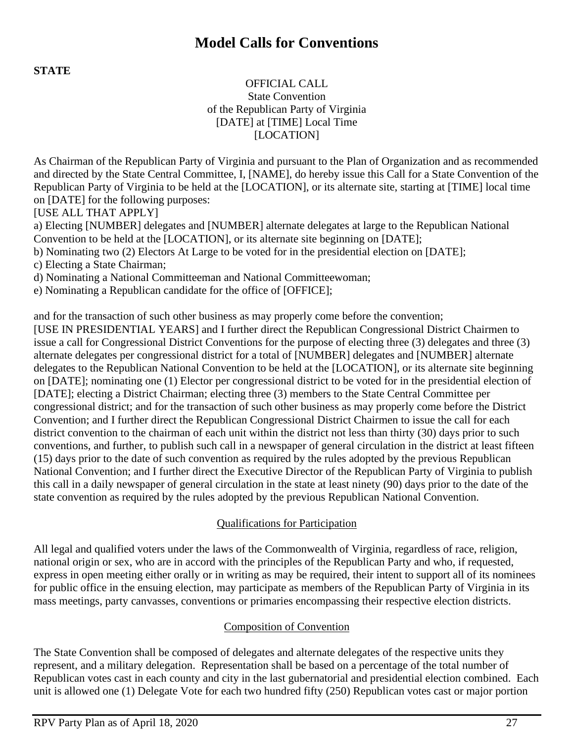## **Model Calls for Conventions**

**STATE**

### OFFICIAL CALL State Convention of the Republican Party of Virginia [DATE] at [TIME] Local Time [LOCATION]

As Chairman of the Republican Party of Virginia and pursuant to the Plan of Organization and as recommended and directed by the State Central Committee, I, [NAME], do hereby issue this Call for a State Convention of the Republican Party of Virginia to be held at the [LOCATION], or its alternate site, starting at [TIME] local time on [DATE] for the following purposes:

[USE ALL THAT APPLY]

a) Electing [NUMBER] delegates and [NUMBER] alternate delegates at large to the Republican National Convention to be held at the [LOCATION], or its alternate site beginning on [DATE];

b) Nominating two (2) Electors At Large to be voted for in the presidential election on [DATE];

c) Electing a State Chairman;

d) Nominating a National Committeeman and National Committeewoman;

e) Nominating a Republican candidate for the office of [OFFICE];

and for the transaction of such other business as may properly come before the convention;

[USE IN PRESIDENTIAL YEARS] and I further direct the Republican Congressional District Chairmen to issue a call for Congressional District Conventions for the purpose of electing three (3) delegates and three (3) alternate delegates per congressional district for a total of [NUMBER] delegates and [NUMBER] alternate delegates to the Republican National Convention to be held at the [LOCATION], or its alternate site beginning on [DATE]; nominating one (1) Elector per congressional district to be voted for in the presidential election of [DATE]; electing a District Chairman; electing three (3) members to the State Central Committee per congressional district; and for the transaction of such other business as may properly come before the District Convention; and I further direct the Republican Congressional District Chairmen to issue the call for each district convention to the chairman of each unit within the district not less than thirty (30) days prior to such conventions, and further, to publish such call in a newspaper of general circulation in the district at least fifteen (15) days prior to the date of such convention as required by the rules adopted by the previous Republican National Convention; and I further direct the Executive Director of the Republican Party of Virginia to publish this call in a daily newspaper of general circulation in the state at least ninety (90) days prior to the date of the state convention as required by the rules adopted by the previous Republican National Convention.

## Qualifications for Participation

All legal and qualified voters under the laws of the Commonwealth of Virginia, regardless of race, religion, national origin or sex, who are in accord with the principles of the Republican Party and who, if requested, express in open meeting either orally or in writing as may be required, their intent to support all of its nominees for public office in the ensuing election, may participate as members of the Republican Party of Virginia in its mass meetings, party canvasses, conventions or primaries encompassing their respective election districts.

## Composition of Convention

The State Convention shall be composed of delegates and alternate delegates of the respective units they represent, and a military delegation. Representation shall be based on a percentage of the total number of Republican votes cast in each county and city in the last gubernatorial and presidential election combined. Each unit is allowed one (1) Delegate Vote for each two hundred fifty (250) Republican votes cast or major portion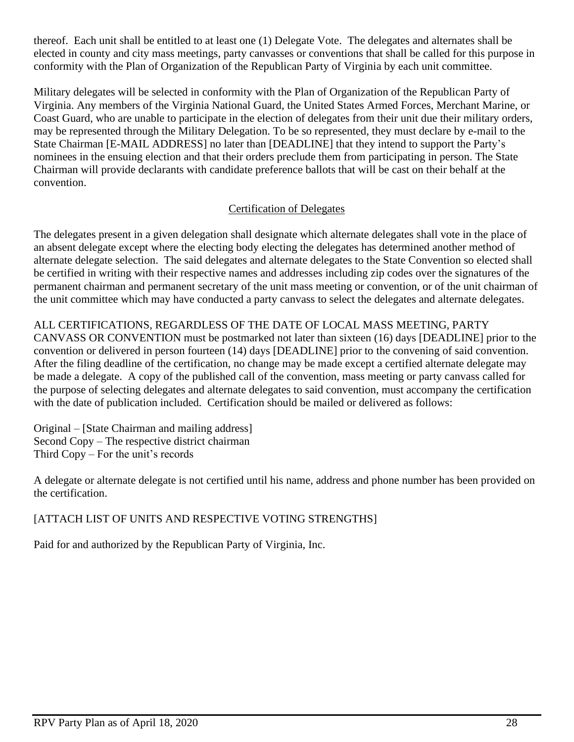thereof. Each unit shall be entitled to at least one (1) Delegate Vote. The delegates and alternates shall be elected in county and city mass meetings, party canvasses or conventions that shall be called for this purpose in conformity with the Plan of Organization of the Republican Party of Virginia by each unit committee.

Military delegates will be selected in conformity with the Plan of Organization of the Republican Party of Virginia. Any members of the Virginia National Guard, the United States Armed Forces, Merchant Marine, or Coast Guard, who are unable to participate in the election of delegates from their unit due their military orders, may be represented through the Military Delegation. To be so represented, they must declare by e-mail to the State Chairman [E-MAIL ADDRESS] no later than [DEADLINE] that they intend to support the Party's nominees in the ensuing election and that their orders preclude them from participating in person. The State Chairman will provide declarants with candidate preference ballots that will be cast on their behalf at the convention.

## Certification of Delegates

The delegates present in a given delegation shall designate which alternate delegates shall vote in the place of an absent delegate except where the electing body electing the delegates has determined another method of alternate delegate selection. The said delegates and alternate delegates to the State Convention so elected shall be certified in writing with their respective names and addresses including zip codes over the signatures of the permanent chairman and permanent secretary of the unit mass meeting or convention, or of the unit chairman of the unit committee which may have conducted a party canvass to select the delegates and alternate delegates.

## ALL CERTIFICATIONS, REGARDLESS OF THE DATE OF LOCAL MASS MEETING, PARTY

CANVASS OR CONVENTION must be postmarked not later than sixteen (16) days [DEADLINE] prior to the convention or delivered in person fourteen (14) days [DEADLINE] prior to the convening of said convention. After the filing deadline of the certification, no change may be made except a certified alternate delegate may be made a delegate. A copy of the published call of the convention, mass meeting or party canvass called for the purpose of selecting delegates and alternate delegates to said convention, must accompany the certification with the date of publication included. Certification should be mailed or delivered as follows:

Original – [State Chairman and mailing address] Second Copy – The respective district chairman Third Copy – For the unit's records

A delegate or alternate delegate is not certified until his name, address and phone number has been provided on the certification.

## [ATTACH LIST OF UNITS AND RESPECTIVE VOTING STRENGTHS]

Paid for and authorized by the Republican Party of Virginia, Inc.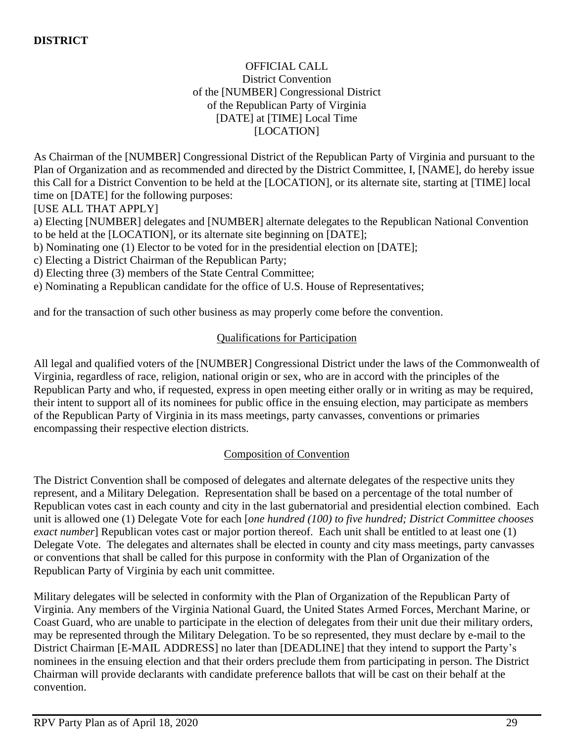### OFFICIAL CALL District Convention of the [NUMBER] Congressional District of the Republican Party of Virginia [DATE] at [TIME] Local Time [LOCATION]

As Chairman of the [NUMBER] Congressional District of the Republican Party of Virginia and pursuant to the Plan of Organization and as recommended and directed by the District Committee, I, [NAME], do hereby issue this Call for a District Convention to be held at the [LOCATION], or its alternate site, starting at [TIME] local time on [DATE] for the following purposes:

[USE ALL THAT APPLY]

a) Electing [NUMBER] delegates and [NUMBER] alternate delegates to the Republican National Convention to be held at the [LOCATION], or its alternate site beginning on [DATE];

b) Nominating one (1) Elector to be voted for in the presidential election on [DATE];

c) Electing a District Chairman of the Republican Party;

d) Electing three (3) members of the State Central Committee;

e) Nominating a Republican candidate for the office of U.S. House of Representatives;

and for the transaction of such other business as may properly come before the convention.

### Qualifications for Participation

All legal and qualified voters of the [NUMBER] Congressional District under the laws of the Commonwealth of Virginia, regardless of race, religion, national origin or sex, who are in accord with the principles of the Republican Party and who, if requested, express in open meeting either orally or in writing as may be required, their intent to support all of its nominees for public office in the ensuing election, may participate as members of the Republican Party of Virginia in its mass meetings, party canvasses, conventions or primaries encompassing their respective election districts.

### Composition of Convention

The District Convention shall be composed of delegates and alternate delegates of the respective units they represent, and a Military Delegation. Representation shall be based on a percentage of the total number of Republican votes cast in each county and city in the last gubernatorial and presidential election combined. Each unit is allowed one (1) Delegate Vote for each [*one hundred (100) to five hundred; District Committee chooses exact number*] Republican votes cast or major portion thereof. Each unit shall be entitled to at least one (1) Delegate Vote. The delegates and alternates shall be elected in county and city mass meetings, party canvasses or conventions that shall be called for this purpose in conformity with the Plan of Organization of the Republican Party of Virginia by each unit committee.

Military delegates will be selected in conformity with the Plan of Organization of the Republican Party of Virginia. Any members of the Virginia National Guard, the United States Armed Forces, Merchant Marine, or Coast Guard, who are unable to participate in the election of delegates from their unit due their military orders, may be represented through the Military Delegation. To be so represented, they must declare by e-mail to the District Chairman [E-MAIL ADDRESS] no later than [DEADLINE] that they intend to support the Party's nominees in the ensuing election and that their orders preclude them from participating in person. The District Chairman will provide declarants with candidate preference ballots that will be cast on their behalf at the convention.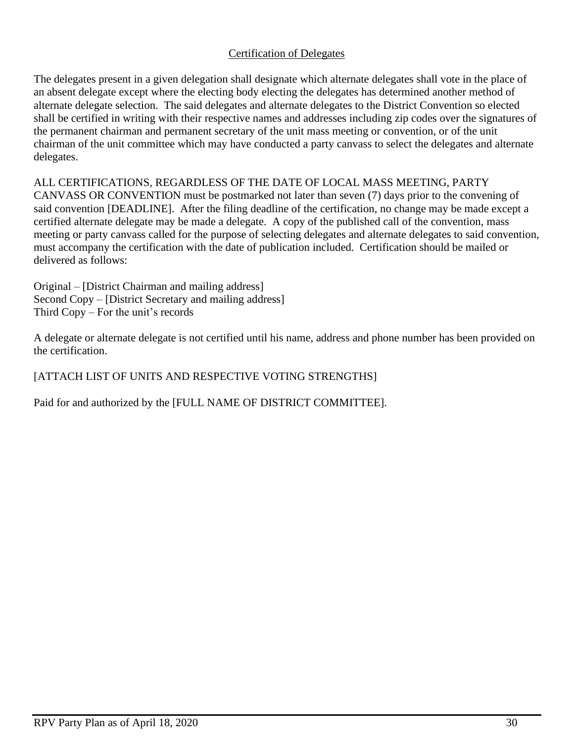### Certification of Delegates

The delegates present in a given delegation shall designate which alternate delegates shall vote in the place of an absent delegate except where the electing body electing the delegates has determined another method of alternate delegate selection. The said delegates and alternate delegates to the District Convention so elected shall be certified in writing with their respective names and addresses including zip codes over the signatures of the permanent chairman and permanent secretary of the unit mass meeting or convention, or of the unit chairman of the unit committee which may have conducted a party canvass to select the delegates and alternate delegates.

ALL CERTIFICATIONS, REGARDLESS OF THE DATE OF LOCAL MASS MEETING, PARTY CANVASS OR CONVENTION must be postmarked not later than seven (7) days prior to the convening of said convention [DEADLINE]. After the filing deadline of the certification, no change may be made except a certified alternate delegate may be made a delegate. A copy of the published call of the convention, mass meeting or party canvass called for the purpose of selecting delegates and alternate delegates to said convention, must accompany the certification with the date of publication included. Certification should be mailed or delivered as follows:

Original – [District Chairman and mailing address] Second Copy – [District Secretary and mailing address] Third Copy – For the unit's records

A delegate or alternate delegate is not certified until his name, address and phone number has been provided on the certification.

## [ATTACH LIST OF UNITS AND RESPECTIVE VOTING STRENGTHS]

Paid for and authorized by the [FULL NAME OF DISTRICT COMMITTEE].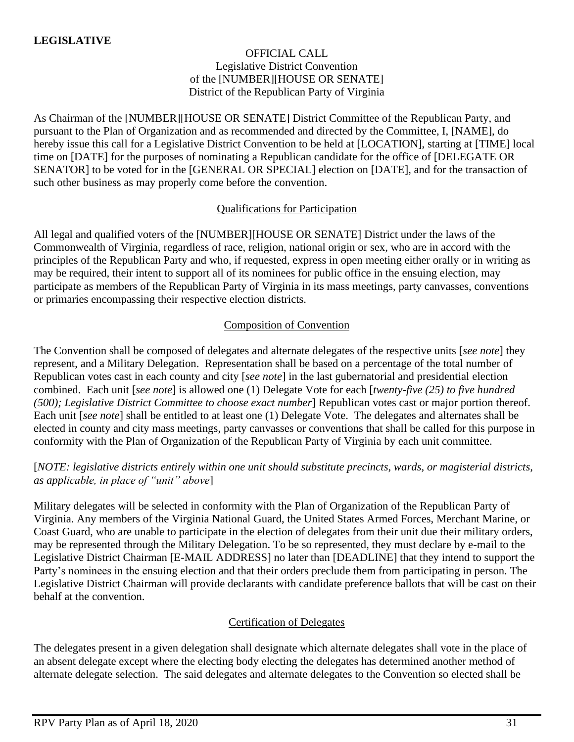### OFFICIAL CALL Legislative District Convention of the [NUMBER][HOUSE OR SENATE] District of the Republican Party of Virginia

As Chairman of the [NUMBER][HOUSE OR SENATE] District Committee of the Republican Party, and pursuant to the Plan of Organization and as recommended and directed by the Committee, I, [NAME], do hereby issue this call for a Legislative District Convention to be held at [LOCATION], starting at [TIME] local time on [DATE] for the purposes of nominating a Republican candidate for the office of [DELEGATE OR SENATOR] to be voted for in the [GENERAL OR SPECIAL] election on [DATE], and for the transaction of such other business as may properly come before the convention.

## Qualifications for Participation

All legal and qualified voters of the [NUMBER][HOUSE OR SENATE] District under the laws of the Commonwealth of Virginia, regardless of race, religion, national origin or sex, who are in accord with the principles of the Republican Party and who, if requested, express in open meeting either orally or in writing as may be required, their intent to support all of its nominees for public office in the ensuing election, may participate as members of the Republican Party of Virginia in its mass meetings, party canvasses, conventions or primaries encompassing their respective election districts.

### Composition of Convention

The Convention shall be composed of delegates and alternate delegates of the respective units [*see note*] they represent, and a Military Delegation. Representation shall be based on a percentage of the total number of Republican votes cast in each county and city [*see note*] in the last gubernatorial and presidential election combined. Each unit [*see note*] is allowed one (1) Delegate Vote for each [*twenty-five (25) to five hundred (500); Legislative District Committee to choose exact number*] Republican votes cast or major portion thereof. Each unit [*see note*] shall be entitled to at least one (1) Delegate Vote. The delegates and alternates shall be elected in county and city mass meetings, party canvasses or conventions that shall be called for this purpose in conformity with the Plan of Organization of the Republican Party of Virginia by each unit committee.

## [*NOTE: legislative districts entirely within one unit should substitute precincts, wards, or magisterial districts, as applicable, in place of "unit" above*]

Military delegates will be selected in conformity with the Plan of Organization of the Republican Party of Virginia. Any members of the Virginia National Guard, the United States Armed Forces, Merchant Marine, or Coast Guard, who are unable to participate in the election of delegates from their unit due their military orders, may be represented through the Military Delegation. To be so represented, they must declare by e-mail to the Legislative District Chairman [E-MAIL ADDRESS] no later than [DEADLINE] that they intend to support the Party's nominees in the ensuing election and that their orders preclude them from participating in person. The Legislative District Chairman will provide declarants with candidate preference ballots that will be cast on their behalf at the convention.

### Certification of Delegates

The delegates present in a given delegation shall designate which alternate delegates shall vote in the place of an absent delegate except where the electing body electing the delegates has determined another method of alternate delegate selection. The said delegates and alternate delegates to the Convention so elected shall be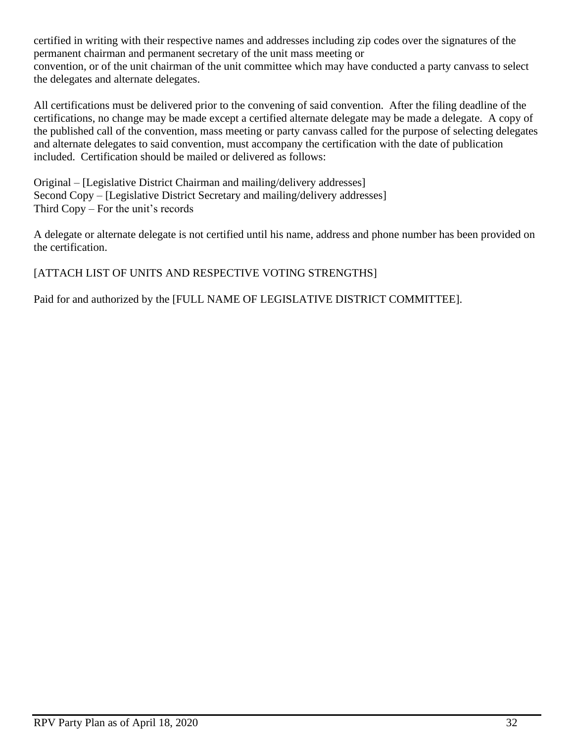certified in writing with their respective names and addresses including zip codes over the signatures of the permanent chairman and permanent secretary of the unit mass meeting or convention, or of the unit chairman of the unit committee which may have conducted a party canvass to select the delegates and alternate delegates.

All certifications must be delivered prior to the convening of said convention. After the filing deadline of the certifications, no change may be made except a certified alternate delegate may be made a delegate. A copy of the published call of the convention, mass meeting or party canvass called for the purpose of selecting delegates and alternate delegates to said convention, must accompany the certification with the date of publication included. Certification should be mailed or delivered as follows:

Original – [Legislative District Chairman and mailing/delivery addresses] Second Copy – [Legislative District Secretary and mailing/delivery addresses] Third Copy – For the unit's records

A delegate or alternate delegate is not certified until his name, address and phone number has been provided on the certification.

## [ATTACH LIST OF UNITS AND RESPECTIVE VOTING STRENGTHS]

Paid for and authorized by the [FULL NAME OF LEGISLATIVE DISTRICT COMMITTEE].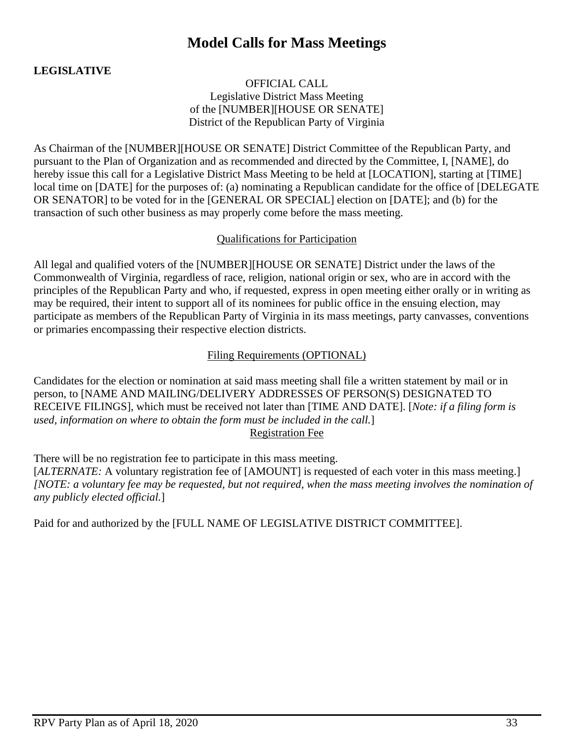## **Model Calls for Mass Meetings**

## **LEGISLATIVE**

OFFICIAL CALL Legislative District Mass Meeting of the [NUMBER][HOUSE OR SENATE] District of the Republican Party of Virginia

As Chairman of the [NUMBER][HOUSE OR SENATE] District Committee of the Republican Party, and pursuant to the Plan of Organization and as recommended and directed by the Committee, I, [NAME], do hereby issue this call for a Legislative District Mass Meeting to be held at [LOCATION], starting at [TIME] local time on [DATE] for the purposes of: (a) nominating a Republican candidate for the office of [DELEGATE OR SENATOR] to be voted for in the [GENERAL OR SPECIAL] election on [DATE]; and (b) for the transaction of such other business as may properly come before the mass meeting.

#### Qualifications for Participation

All legal and qualified voters of the [NUMBER][HOUSE OR SENATE] District under the laws of the Commonwealth of Virginia, regardless of race, religion, national origin or sex, who are in accord with the principles of the Republican Party and who, if requested, express in open meeting either orally or in writing as may be required, their intent to support all of its nominees for public office in the ensuing election, may participate as members of the Republican Party of Virginia in its mass meetings, party canvasses, conventions or primaries encompassing their respective election districts.

### Filing Requirements (OPTIONAL)

Candidates for the election or nomination at said mass meeting shall file a written statement by mail or in person, to [NAME AND MAILING/DELIVERY ADDRESSES OF PERSON(S) DESIGNATED TO RECEIVE FILINGS], which must be received not later than [TIME AND DATE]. [*Note: if a filing form is used, information on where to obtain the form must be included in the call.*] Registration Fee

There will be no registration fee to participate in this mass meeting. [*ALTERNATE:* A voluntary registration fee of [AMOUNT] is requested of each voter in this mass meeting.] *[NOTE: a voluntary fee may be requested, but not required, when the mass meeting involves the nomination of any publicly elected official.*]

Paid for and authorized by the [FULL NAME OF LEGISLATIVE DISTRICT COMMITTEE].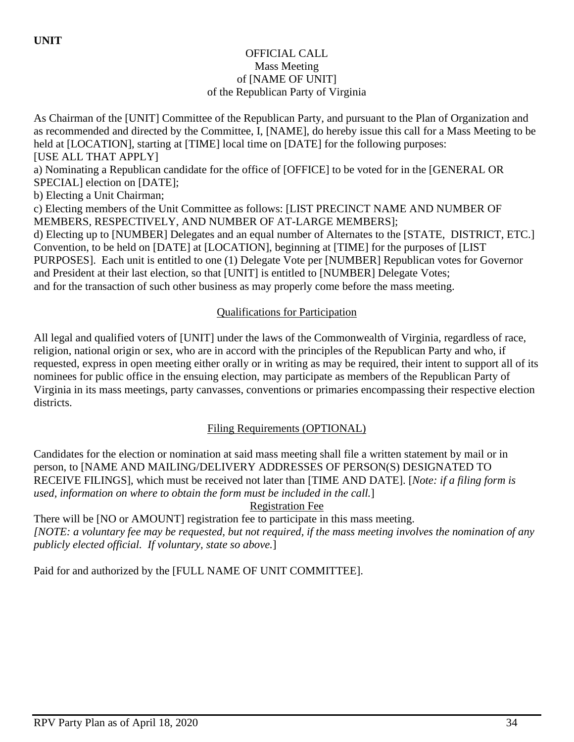### OFFICIAL CALL Mass Meeting of [NAME OF UNIT] of the Republican Party of Virginia

As Chairman of the [UNIT] Committee of the Republican Party, and pursuant to the Plan of Organization and as recommended and directed by the Committee, I, [NAME], do hereby issue this call for a Mass Meeting to be held at [LOCATION], starting at [TIME] local time on [DATE] for the following purposes: [USE ALL THAT APPLY] a) Nominating a Republican candidate for the office of [OFFICE] to be voted for in the [GENERAL OR SPECIAL] election on [DATE]; b) Electing a Unit Chairman; c) Electing members of the Unit Committee as follows: [LIST PRECINCT NAME AND NUMBER OF MEMBERS, RESPECTIVELY, AND NUMBER OF AT-LARGE MEMBERS]; d) Electing up to [NUMBER] Delegates and an equal number of Alternates to the [STATE, DISTRICT, ETC.] Convention, to be held on [DATE] at [LOCATION], beginning at [TIME] for the purposes of [LIST PURPOSES]. Each unit is entitled to one (1) Delegate Vote per [NUMBER] Republican votes for Governor and President at their last election, so that [UNIT] is entitled to [NUMBER] Delegate Votes; and for the transaction of such other business as may properly come before the mass meeting.

## Qualifications for Participation

All legal and qualified voters of [UNIT] under the laws of the Commonwealth of Virginia, regardless of race, religion, national origin or sex, who are in accord with the principles of the Republican Party and who, if requested, express in open meeting either orally or in writing as may be required, their intent to support all of its nominees for public office in the ensuing election, may participate as members of the Republican Party of Virginia in its mass meetings, party canvasses, conventions or primaries encompassing their respective election districts.

## Filing Requirements (OPTIONAL)

Candidates for the election or nomination at said mass meeting shall file a written statement by mail or in person, to [NAME AND MAILING/DELIVERY ADDRESSES OF PERSON(S) DESIGNATED TO RECEIVE FILINGS], which must be received not later than [TIME AND DATE]. [*Note: if a filing form is used, information on where to obtain the form must be included in the call.*]

Registration Fee

There will be [NO or AMOUNT] registration fee to participate in this mass meeting. *[NOTE: a voluntary fee may be requested, but not required, if the mass meeting involves the nomination of any publicly elected official. If voluntary, state so above.*]

Paid for and authorized by the [FULL NAME OF UNIT COMMITTEE].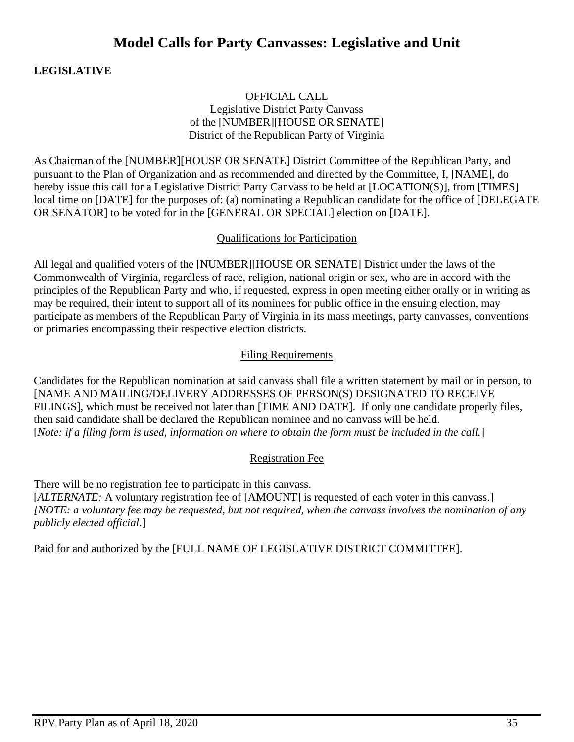## **Model Calls for Party Canvasses: Legislative and Unit**

## **LEGISLATIVE**

### OFFICIAL CALL Legislative District Party Canvass of the [NUMBER][HOUSE OR SENATE] District of the Republican Party of Virginia

As Chairman of the [NUMBER][HOUSE OR SENATE] District Committee of the Republican Party, and pursuant to the Plan of Organization and as recommended and directed by the Committee, I, [NAME], do hereby issue this call for a Legislative District Party Canvass to be held at [LOCATION(S)], from [TIMES] local time on [DATE] for the purposes of: (a) nominating a Republican candidate for the office of [DELEGATE OR SENATOR] to be voted for in the [GENERAL OR SPECIAL] election on [DATE].

#### Qualifications for Participation

All legal and qualified voters of the [NUMBER][HOUSE OR SENATE] District under the laws of the Commonwealth of Virginia, regardless of race, religion, national origin or sex, who are in accord with the principles of the Republican Party and who, if requested, express in open meeting either orally or in writing as may be required, their intent to support all of its nominees for public office in the ensuing election, may participate as members of the Republican Party of Virginia in its mass meetings, party canvasses, conventions or primaries encompassing their respective election districts.

### Filing Requirements

Candidates for the Republican nomination at said canvass shall file a written statement by mail or in person, to [NAME AND MAILING/DELIVERY ADDRESSES OF PERSON(S) DESIGNATED TO RECEIVE FILINGS], which must be received not later than [TIME AND DATE]. If only one candidate properly files, then said candidate shall be declared the Republican nominee and no canvass will be held. [*Note: if a filing form is used, information on where to obtain the form must be included in the call.*]

### Registration Fee

There will be no registration fee to participate in this canvass. [*ALTERNATE:* A voluntary registration fee of [AMOUNT] is requested of each voter in this canvass.] *[NOTE: a voluntary fee may be requested, but not required, when the canvass involves the nomination of any publicly elected official.*]

Paid for and authorized by the [FULL NAME OF LEGISLATIVE DISTRICT COMMITTEE].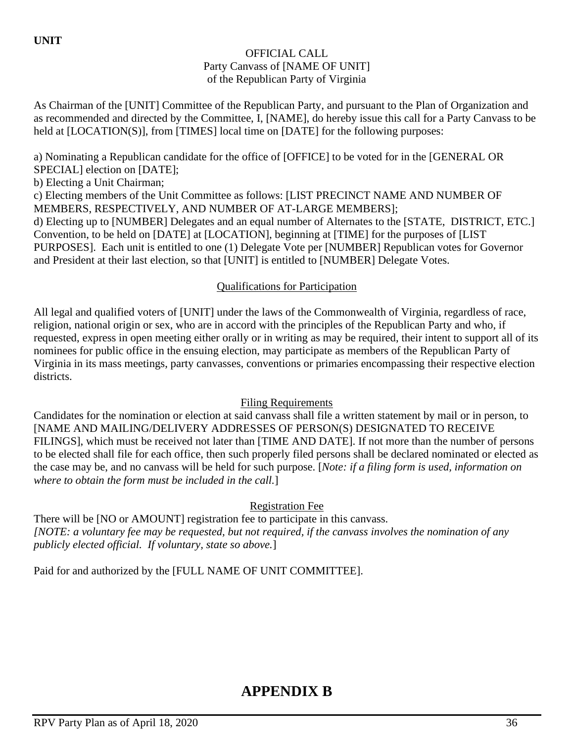## **UNIT**

### OFFICIAL CALL Party Canvass of [NAME OF UNIT] of the Republican Party of Virginia

As Chairman of the [UNIT] Committee of the Republican Party, and pursuant to the Plan of Organization and as recommended and directed by the Committee, I, [NAME], do hereby issue this call for a Party Canvass to be held at [LOCATION(S)], from [TIMES] local time on [DATE] for the following purposes:

a) Nominating a Republican candidate for the office of [OFFICE] to be voted for in the [GENERAL OR SPECIAL] election on [DATE];

b) Electing a Unit Chairman;

c) Electing members of the Unit Committee as follows: [LIST PRECINCT NAME AND NUMBER OF MEMBERS, RESPECTIVELY, AND NUMBER OF AT-LARGE MEMBERS];

d) Electing up to [NUMBER] Delegates and an equal number of Alternates to the [STATE, DISTRICT, ETC.] Convention, to be held on [DATE] at [LOCATION], beginning at [TIME] for the purposes of [LIST PURPOSES]. Each unit is entitled to one (1) Delegate Vote per [NUMBER] Republican votes for Governor and President at their last election, so that [UNIT] is entitled to [NUMBER] Delegate Votes.

## Qualifications for Participation

All legal and qualified voters of [UNIT] under the laws of the Commonwealth of Virginia, regardless of race, religion, national origin or sex, who are in accord with the principles of the Republican Party and who, if requested, express in open meeting either orally or in writing as may be required, their intent to support all of its nominees for public office in the ensuing election, may participate as members of the Republican Party of Virginia in its mass meetings, party canvasses, conventions or primaries encompassing their respective election districts.

### Filing Requirements

Candidates for the nomination or election at said canvass shall file a written statement by mail or in person, to [NAME AND MAILING/DELIVERY ADDRESSES OF PERSON(S) DESIGNATED TO RECEIVE FILINGS], which must be received not later than [TIME AND DATE]. If not more than the number of persons to be elected shall file for each office, then such properly filed persons shall be declared nominated or elected as the case may be, and no canvass will be held for such purpose. [*Note: if a filing form is used, information on where to obtain the form must be included in the call.*]

Registration Fee

There will be [NO or AMOUNT] registration fee to participate in this canvass. *[NOTE: a voluntary fee may be requested, but not required, if the canvass involves the nomination of any publicly elected official. If voluntary, state so above.*]

Paid for and authorized by the [FULL NAME OF UNIT COMMITTEE].

# **APPENDIX B**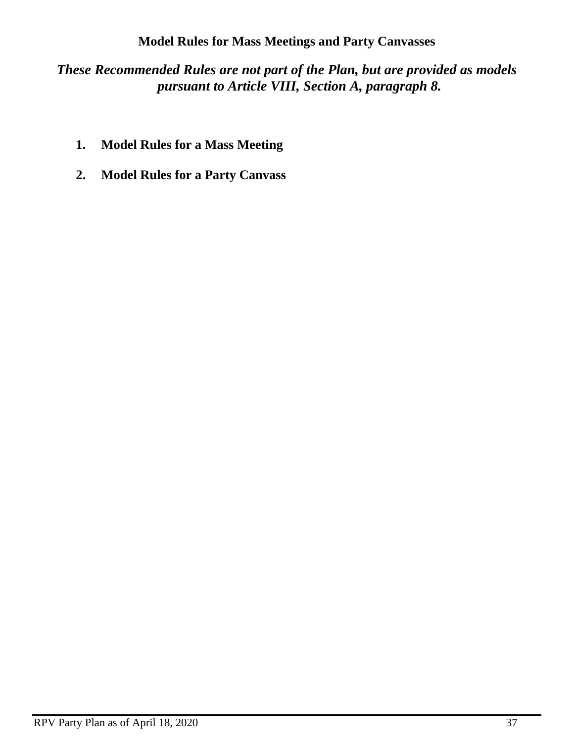## **Model Rules for Mass Meetings and Party Canvasses**

*These Recommended Rules are not part of the Plan, but are provided as models pursuant to Article VIII, Section A, paragraph 8.*

- **1. Model Rules for a Mass Meeting**
- **2. Model Rules for a Party Canvass**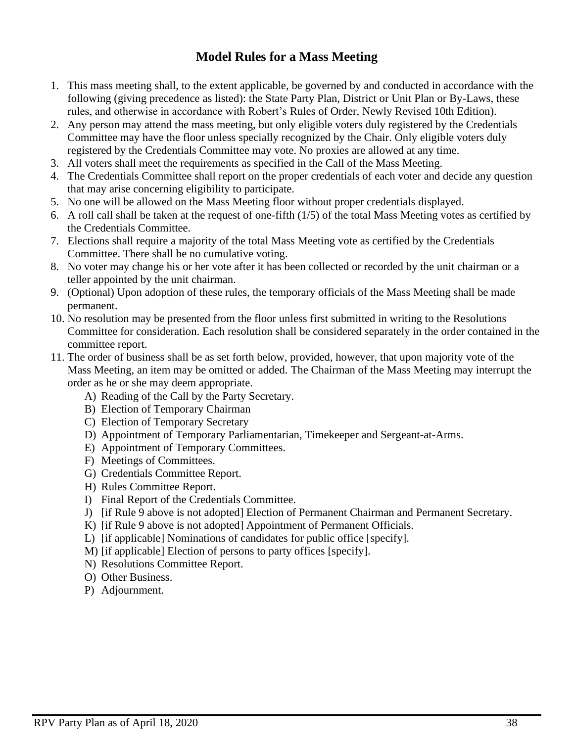## **Model Rules for a Mass Meeting**

- 1. This mass meeting shall, to the extent applicable, be governed by and conducted in accordance with the following (giving precedence as listed): the State Party Plan, District or Unit Plan or By-Laws, these rules, and otherwise in accordance with Robert's Rules of Order, Newly Revised 10th Edition).
- 2. Any person may attend the mass meeting, but only eligible voters duly registered by the Credentials Committee may have the floor unless specially recognized by the Chair. Only eligible voters duly registered by the Credentials Committee may vote. No proxies are allowed at any time.
- 3. All voters shall meet the requirements as specified in the Call of the Mass Meeting.
- 4. The Credentials Committee shall report on the proper credentials of each voter and decide any question that may arise concerning eligibility to participate.
- 5. No one will be allowed on the Mass Meeting floor without proper credentials displayed.
- 6. A roll call shall be taken at the request of one-fifth (1/5) of the total Mass Meeting votes as certified by the Credentials Committee.
- 7. Elections shall require a majority of the total Mass Meeting vote as certified by the Credentials Committee. There shall be no cumulative voting.
- 8. No voter may change his or her vote after it has been collected or recorded by the unit chairman or a teller appointed by the unit chairman.
- 9. (Optional) Upon adoption of these rules, the temporary officials of the Mass Meeting shall be made permanent.
- 10. No resolution may be presented from the floor unless first submitted in writing to the Resolutions Committee for consideration. Each resolution shall be considered separately in the order contained in the committee report.
- 11. The order of business shall be as set forth below, provided, however, that upon majority vote of the Mass Meeting, an item may be omitted or added. The Chairman of the Mass Meeting may interrupt the order as he or she may deem appropriate.
	- A) Reading of the Call by the Party Secretary.
	- B) Election of Temporary Chairman
	- C) Election of Temporary Secretary
	- D) Appointment of Temporary Parliamentarian, Timekeeper and Sergeant-at-Arms.
	- E) Appointment of Temporary Committees.
	- F) Meetings of Committees.
	- G) Credentials Committee Report.
	- H) Rules Committee Report.
	- I) Final Report of the Credentials Committee.
	- J) [if Rule 9 above is not adopted] Election of Permanent Chairman and Permanent Secretary.
	- K) [if Rule 9 above is not adopted] Appointment of Permanent Officials.
	- L) [if applicable] Nominations of candidates for public office [specify].
	- M) [if applicable] Election of persons to party offices [specify].
	- N) Resolutions Committee Report.
	- O) Other Business.
	- P) Adjournment.